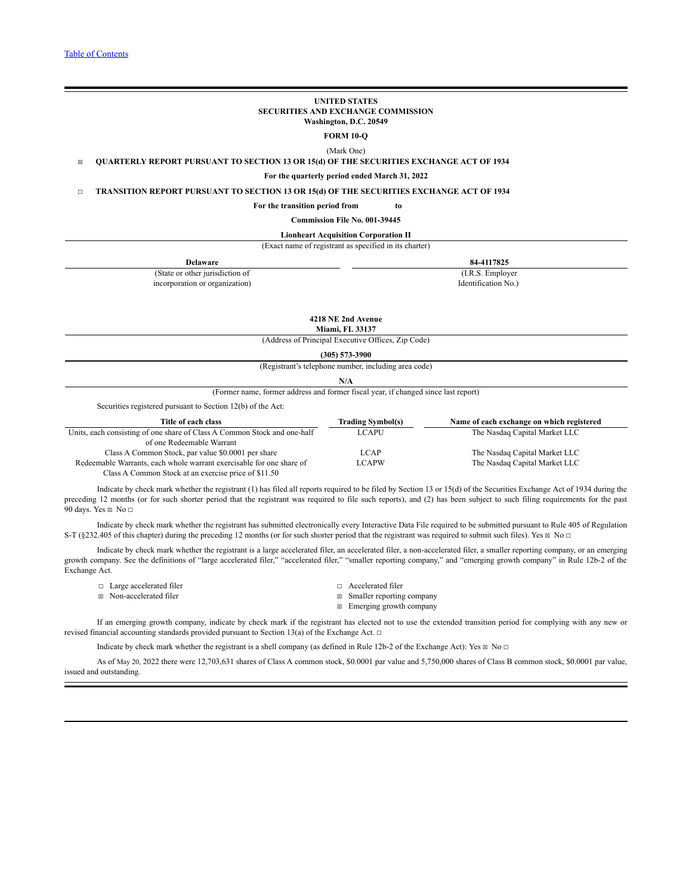#### **UNITED STATES SECURITIES AND EXCHANGE COMMISSION Washington, D.C. 20549**

**FORM 10-Q**

(Mark One)

☒ **QUARTERLY REPORT PURSUANT TO SECTION 13 OR 15(d) OF THE SECURITIES EXCHANGE ACT OF 1934**

**For the quarterly period ended March 31, 2022**

☐ **TRANSITION REPORT PURSUANT TO SECTION 13 OR 15(d) OF THE SECURITIES EXCHANGE ACT OF 1934**

#### **For the transition period from to**

**Commission File No. 001-39445**

# **Lionheart Acquisition Corporation II**

(Exact name of registrant as specified in its charter)

| $-$                             |                     |
|---------------------------------|---------------------|
| Delaware                        | 84-4117825          |
| (State or other jurisdiction of | (I.R.S. Employer)   |
| incorporation or organization)  | Identification No.) |
|                                 |                     |

**4218 NE 2nd Avenue**

**Miami, FL 33137**

(Address of Principal Executive Offices, Zip Code)

**(305) 573-3900**

(Registrant's telephone number, including area code)

(Former name, former address and former fiscal year, if changed since last report)

Securities registered pursuant to Section 12(b) of the Act:

| Title of each class                                                      | <b>Trading Symbol(s)</b> | Name of each exchange on which registered |
|--------------------------------------------------------------------------|--------------------------|-------------------------------------------|
| Units, each consisting of one share of Class A Common Stock and one-half | LCAPU                    | The Nasdaq Capital Market LLC             |
| of one Redeemable Warrant                                                |                          |                                           |
| Class A Common Stock, par value \$0,0001 per share                       | LCAP                     | The Nasdaq Capital Market LLC             |
| Redeemable Warrants, each whole warrant exercisable for one share of     | <b>LCAPW</b>             | The Nasdaq Capital Market LLC             |
| Class A Common Stock at an exercise price of \$11.50                     |                          |                                           |

Indicate by check mark whether the registrant (1) has filed all reports required to be filed by Section 13 or 15(d) of the Securities Exchange Act of 1934 during the preceding 12 months (or for such shorter period that the registrant was required to file such reports), and (2) has been subject to such filing requirements for the past 90 days. Yes  $\boxtimes$  No  $\Box$ 

Indicate by check mark whether the registrant has submitted electronically every Interactive Data File required to be submitted pursuant to Rule 405 of Regulation S-T (§232.405 of this chapter) during the preceding 12 months (or for such shorter period that the registrant was required to submit such files). Yes  $\boxtimes$  No  $\Box$ 

Indicate by check mark whether the registrant is a large accelerated filer, an accelerated filer, a non-accelerated filer, a smaller reporting company, or an emerging growth company. See the definitions of "large accelerated filer," "accelerated filer," "smaller reporting company," and "emerging growth company" in Rule 12b-2 of the Exchange Act.

| $\Box$ Large accelerated filer | $\Box$ Accelerated filer    |
|--------------------------------|-----------------------------|
| ⊠ Non-accelerated filer        | ⊠ Smaller reporting company |

 $\boxtimes$  Emerging growth company

If an emerging growth company, indicate by check mark if the registrant has elected not to use the extended transition period for complying with any new or revised financial accounting standards provided pursuant to Section 13(a) of the Exchange Act. ☐

Indicate by check mark whether the registrant is a shell company (as defined in Rule 12b-2 of the Exchange Act): Yes  $\boxtimes$  No  $\Box$ 

As of May 20, 2022 there were 12,703,631 shares of Class A common stock, \$0.0001 par value and 5,750,000 shares of Class B common stock, \$0.0001 par value, issued and outstanding.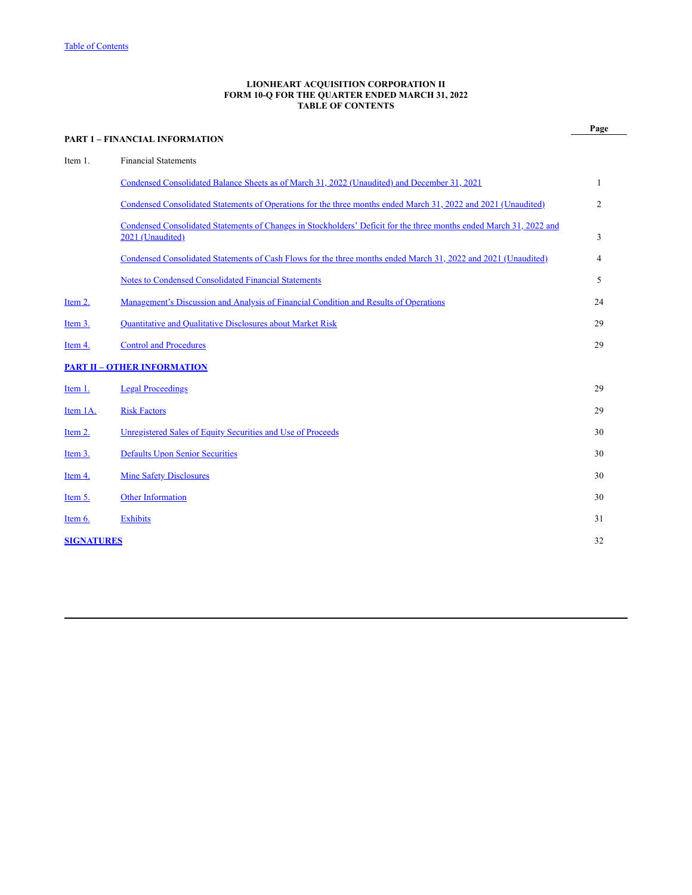## **LIONHEART ACQUISITION CORPORATION II FORM 10-Q FOR THE QUARTER ENDED MARCH 31, 2022 TABLE OF CONTENTS**

<span id="page-1-0"></span>

|                   | <b>PART 1 - FINANCIAL INFORMATION</b>                                                                                                   | Page           |
|-------------------|-----------------------------------------------------------------------------------------------------------------------------------------|----------------|
| Item 1.           | <b>Financial Statements</b>                                                                                                             |                |
|                   | Condensed Consolidated Balance Sheets as of March 31, 2022 (Unaudited) and December 31, 2021                                            | 1              |
|                   | Condensed Consolidated Statements of Operations for the three months ended March 31, 2022 and 2021 (Unaudited)                          | $\overline{2}$ |
|                   | Condensed Consolidated Statements of Changes in Stockholders' Deficit for the three months ended March 31, 2022 and<br>2021 (Unaudited) | 3              |
|                   | Condensed Consolidated Statements of Cash Flows for the three months ended March 31, 2022 and 2021 (Unaudited)                          | 4              |
|                   | <b>Notes to Condensed Consolidated Financial Statements</b>                                                                             | 5              |
| Item 2.           | <u>Management's Discussion and Analysis of Financial Condition and Results of Operations</u>                                            | 24             |
| Item 3.           | Quantitative and Qualitative Disclosures about Market Risk                                                                              | 29             |
| Item 4.           | <b>Control and Procedures</b>                                                                                                           | 29             |
|                   | <b>PART II - OTHER INFORMATION</b>                                                                                                      |                |
| Item 1.           | <b>Legal Proceedings</b>                                                                                                                | 29             |
| Item 1A.          | <b>Risk Factors</b>                                                                                                                     | 29             |
| Item 2.           | Unregistered Sales of Equity Securities and Use of Proceeds                                                                             | 30             |
| Item 3.           | <b>Defaults Upon Senior Securities</b>                                                                                                  | 30             |
| Item 4.           | <b>Mine Safety Disclosures</b>                                                                                                          | 30             |
| Item 5.           | <b>Other Information</b>                                                                                                                | 30             |
| Item $6.$         | <b>Exhibits</b>                                                                                                                         | 31             |
| <b>SIGNATURES</b> |                                                                                                                                         | 32             |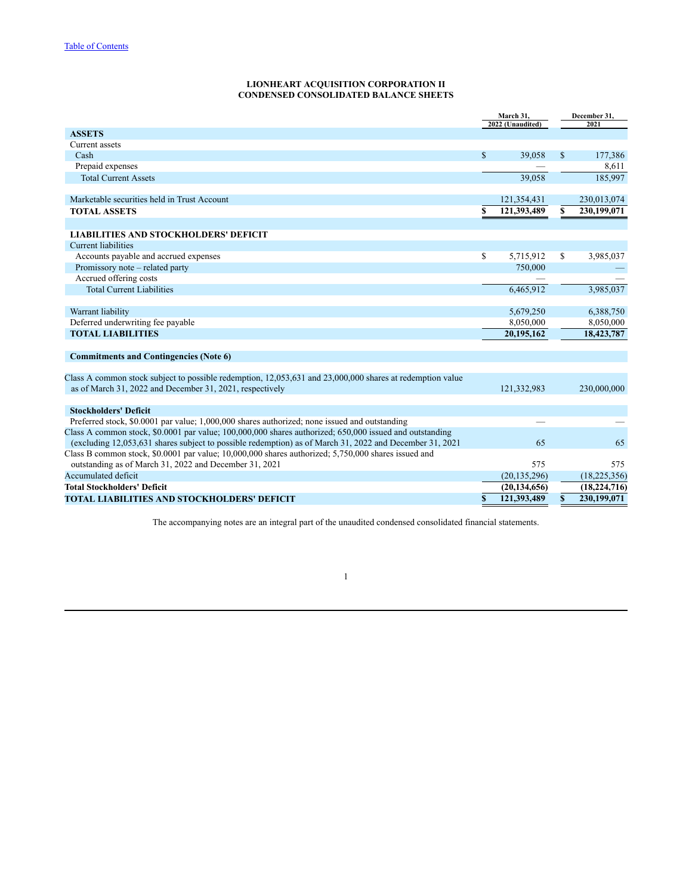## **LIONHEART ACQUISITION CORPORATION II CONDENSED CONSOLIDATED BALANCE SHEETS**

<span id="page-2-0"></span>

|                                                                                                                                                                                                                | March 31,<br>2022 (Unaudited) |                |              | December 31,<br>2021 |  |  |
|----------------------------------------------------------------------------------------------------------------------------------------------------------------------------------------------------------------|-------------------------------|----------------|--------------|----------------------|--|--|
| <b>ASSETS</b>                                                                                                                                                                                                  |                               |                |              |                      |  |  |
| Current assets                                                                                                                                                                                                 |                               |                |              |                      |  |  |
| Cash                                                                                                                                                                                                           | \$                            | 39,058         | $\mathbf S$  | 177,386              |  |  |
| Prepaid expenses                                                                                                                                                                                               |                               |                |              | 8,611                |  |  |
| <b>Total Current Assets</b>                                                                                                                                                                                    |                               | 39,058         |              | 185,997              |  |  |
|                                                                                                                                                                                                                |                               |                |              |                      |  |  |
| Marketable securities held in Trust Account                                                                                                                                                                    |                               | 121,354,431    |              | 230,013,074          |  |  |
| <b>TOTAL ASSETS</b>                                                                                                                                                                                            | \$                            | 121,393,489    | S.           | 230,199,071          |  |  |
| <b>LIABILITIES AND STOCKHOLDERS' DEFICIT</b>                                                                                                                                                                   |                               |                |              |                      |  |  |
| <b>Current liabilities</b>                                                                                                                                                                                     |                               |                |              |                      |  |  |
| Accounts payable and accrued expenses                                                                                                                                                                          | \$                            | 5,715,912      | \$           | 3,985,037            |  |  |
| Promissory note – related party                                                                                                                                                                                |                               | 750,000        |              |                      |  |  |
| Accrued offering costs                                                                                                                                                                                         |                               |                |              |                      |  |  |
| <b>Total Current Liabilities</b>                                                                                                                                                                               |                               | 6,465,912      |              | 3,985,037            |  |  |
|                                                                                                                                                                                                                |                               |                |              |                      |  |  |
| Warrant liability                                                                                                                                                                                              |                               | 5,679,250      |              | 6,388,750            |  |  |
| Deferred underwriting fee payable                                                                                                                                                                              |                               | 8,050,000      |              | 8,050,000            |  |  |
| <b>TOTAL LIABILITIES</b>                                                                                                                                                                                       |                               | 20,195,162     |              | 18,423,787           |  |  |
| <b>Commitments and Contingencies (Note 6)</b>                                                                                                                                                                  |                               |                |              |                      |  |  |
|                                                                                                                                                                                                                |                               |                |              |                      |  |  |
| Class A common stock subject to possible redemption, 12,053,631 and 23,000,000 shares at redemption value                                                                                                      |                               |                |              |                      |  |  |
| as of March 31, 2022 and December 31, 2021, respectively                                                                                                                                                       |                               | 121,332,983    |              | 230,000,000          |  |  |
|                                                                                                                                                                                                                |                               |                |              |                      |  |  |
| <b>Stockholders' Deficit</b>                                                                                                                                                                                   |                               |                |              |                      |  |  |
| Preferred stock, \$0.0001 par value; 1,000,000 shares authorized; none issued and outstanding                                                                                                                  |                               |                |              |                      |  |  |
| Class A common stock, \$0.0001 par value; 100,000,000 shares authorized; 650,000 issued and outstanding                                                                                                        |                               | 65             |              | 65                   |  |  |
| (excluding 12,053,631 shares subject to possible redemption) as of March 31, 2022 and December 31, 2021<br>Class B common stock, \$0.0001 par value; 10,000,000 shares authorized; 5,750,000 shares issued and |                               |                |              |                      |  |  |
| outstanding as of March 31, 2022 and December 31, 2021                                                                                                                                                         |                               | 575            |              | 575                  |  |  |
| Accumulated deficit                                                                                                                                                                                            |                               | (20, 135, 296) |              | (18, 225, 356)       |  |  |
| <b>Total Stockholders' Deficit</b>                                                                                                                                                                             |                               | (20, 134, 656) |              | (18, 224, 716)       |  |  |
| TOTAL LIABILITIES AND STOCKHOLDERS' DEFICIT                                                                                                                                                                    | \$                            | 121,393,489    | $\mathbf{s}$ | 230,199,071          |  |  |

The accompanying notes are an integral part of the unaudited condensed consolidated financial statements.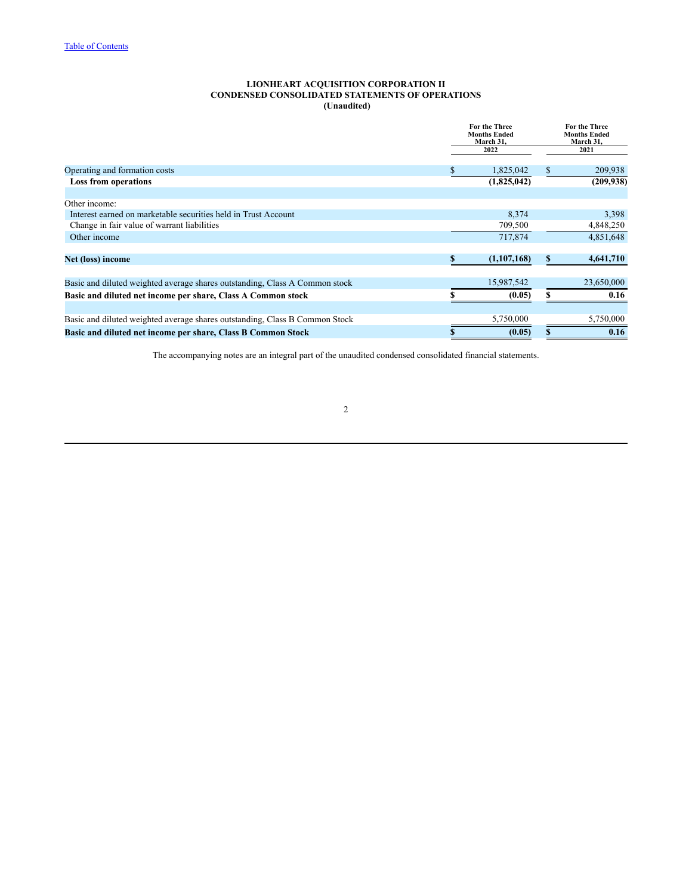## **LIONHEART ACQUISITION CORPORATION II CONDENSED CONSOLIDATED STATEMENTS OF OPERATIONS (Unaudited)**

<span id="page-3-0"></span>

|                                                                             |   | For the Three<br><b>Months Ended</b><br>March 31, |   | <b>For the Three</b><br><b>Months Ended</b><br>March 31, |
|-----------------------------------------------------------------------------|---|---------------------------------------------------|---|----------------------------------------------------------|
|                                                                             |   | 2022                                              |   | 2021                                                     |
| Operating and formation costs                                               | S | 1,825,042                                         | S | 209,938                                                  |
| <b>Loss from operations</b>                                                 |   | (1,825,042)                                       |   | (209, 938)                                               |
| Other income:                                                               |   |                                                   |   |                                                          |
| Interest earned on marketable securities held in Trust Account              |   | 8,374                                             |   | 3,398                                                    |
| Change in fair value of warrant liabilities                                 |   | 709,500                                           |   | 4,848,250                                                |
| Other income                                                                |   | 717,874                                           |   | 4,851,648                                                |
| Net (loss) income                                                           |   | (1,107,168)                                       | ъ | 4,641,710                                                |
| Basic and diluted weighted average shares outstanding, Class A Common stock |   | 15,987,542                                        |   | 23,650,000                                               |
| Basic and diluted net income per share, Class A Common stock                |   | (0.05)                                            |   | 0.16                                                     |
|                                                                             |   |                                                   |   |                                                          |
| Basic and diluted weighted average shares outstanding, Class B Common Stock |   | 5,750,000                                         |   | 5,750,000                                                |
| Basic and diluted net income per share, Class B Common Stock                |   | (0.05)                                            |   | 0.16                                                     |

The accompanying notes are an integral part of the unaudited condensed consolidated financial statements.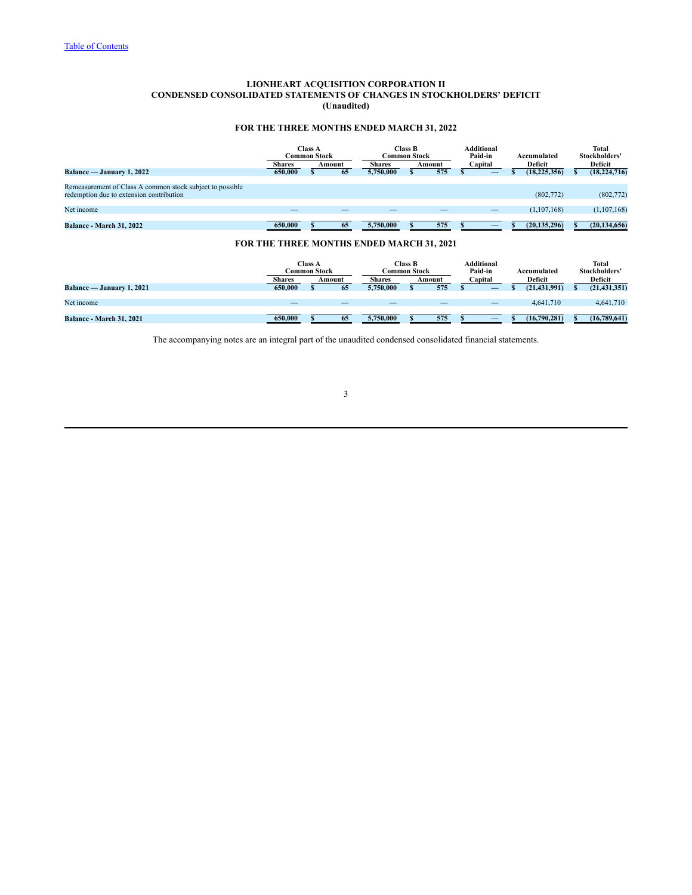## **LIONHEART ACQUISITION CORPORATION II CONDENSED CONSOLIDATED STATEMENTS OF CHANGES IN STOCKHOLDERS' DEFICIT (Unaudited)**

# **FOR THE THREE MONTHS ENDED MARCH 31, 2022**

<span id="page-4-0"></span>

|                                                                                                       | <b>Shares</b> | <b>Class A</b><br><b>Common Stock</b> | Amount | <b>Common Stock</b><br><b>Shares</b>             | <b>Class B</b> | Amount | Additional<br>Paid-in<br>Capital |   | Accumulated<br>Deficit |              | <b>Total</b><br>Stockholders'<br>Deficit |
|-------------------------------------------------------------------------------------------------------|---------------|---------------------------------------|--------|--------------------------------------------------|----------------|--------|----------------------------------|---|------------------------|--------------|------------------------------------------|
| Balance — January 1, 2022                                                                             | 650,000       |                                       | 65     | 5,750,000                                        |                | 575    | –                                |   | (18, 225, 356)         |              | (18, 224, 716)                           |
| Remeasurement of Class A common stock subject to possible<br>redemption due to extension contribution |               |                                       |        |                                                  |                |        |                                  |   | (802,772)              |              | (802,772)                                |
| Net income                                                                                            |               |                                       |        |                                                  |                |        |                                  |   | (1,107,168)            |              | (1,107,168)                              |
| <b>Balance - March 31, 2022</b>                                                                       | 650,000       |                                       | 65     | 5,750,000                                        |                | 575    |                                  |   | (20, 135, 296)         |              | (20, 134, 656)                           |
|                                                                                                       |               |                                       |        | <b>FOR THE THREE MONTHS ENDED MARCH 31, 2021</b> |                |        |                                  |   |                        |              |                                          |
|                                                                                                       | <b>Shares</b> | <b>Class A</b><br><b>Common Stock</b> | Amount | <b>Common Stock</b><br><b>Shares</b>             | <b>Class B</b> | Amount | Additional<br>Paid-in<br>Capital |   | Accumulated<br>Deficit |              | <b>Total</b><br>Stockholders'<br>Deficit |
| Balance — January 1, 2021                                                                             | 650,000       |                                       | 65     | 5,750,000                                        |                | 575    | –                                | S | (21, 431, 991)         | $\mathbf{s}$ | (21, 431, 351)                           |
| Net income                                                                                            |               |                                       |        |                                                  |                |        |                                  |   | 4,641,710              |              | 4,641,710                                |
| <b>Balance - March 31, 2021</b>                                                                       | 650,000       |                                       | 65     | 5,750,000                                        |                | 575    | –                                |   | (16,790,281)           |              | (16,789,641)                             |

The accompanying notes are an integral part of the unaudited condensed consolidated financial statements.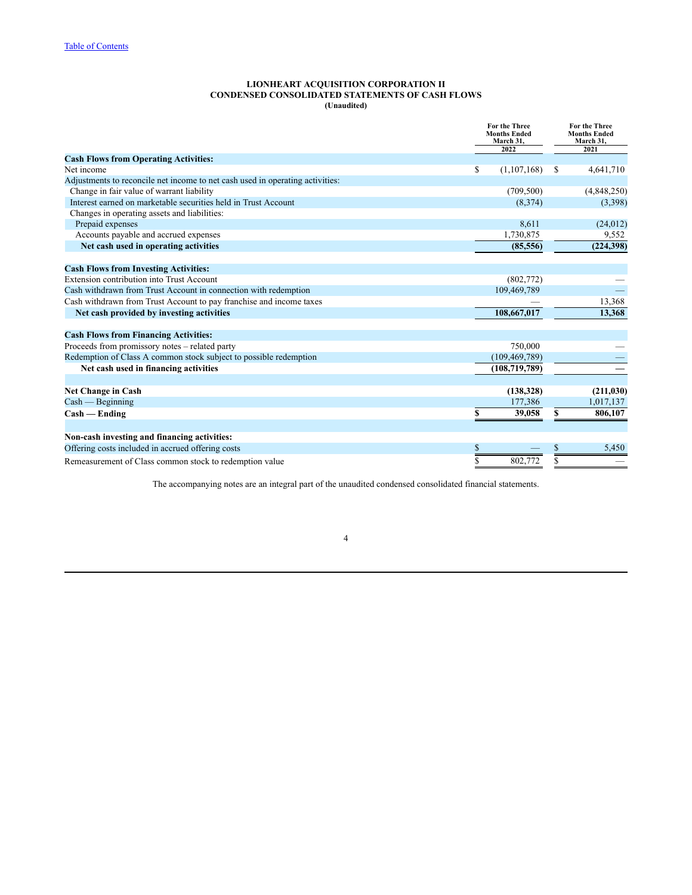#### **LIONHEART ACQUISITION CORPORATION II CONDENSED CONSOLIDATED STATEMENTS OF CASH FLOWS (Unaudited)**

<span id="page-5-0"></span>

|                                                                               | For the Three<br><b>Months Ended</b><br>March 31,<br>2022 |    | For the Three<br><b>Months Ended</b><br>March 31.<br>2021 |
|-------------------------------------------------------------------------------|-----------------------------------------------------------|----|-----------------------------------------------------------|
| <b>Cash Flows from Operating Activities:</b>                                  |                                                           |    |                                                           |
| Net income                                                                    | (1,107,168)<br>S                                          | S  | 4,641,710                                                 |
| Adjustments to reconcile net income to net cash used in operating activities: |                                                           |    |                                                           |
| Change in fair value of warrant liability                                     | (709, 500)                                                |    | (4,848,250)                                               |
| Interest earned on marketable securities held in Trust Account                | (8,374)                                                   |    | (3,398)                                                   |
| Changes in operating assets and liabilities:                                  |                                                           |    |                                                           |
| Prepaid expenses                                                              | 8,611                                                     |    | (24, 012)                                                 |
| Accounts payable and accrued expenses                                         | 1,730,875                                                 |    | 9,552                                                     |
| Net cash used in operating activities                                         | (85, 556)                                                 |    | (224, 398)                                                |
| <b>Cash Flows from Investing Activities:</b>                                  |                                                           |    |                                                           |
| Extension contribution into Trust Account                                     | (802,772)                                                 |    |                                                           |
| Cash withdrawn from Trust Account in connection with redemption               | 109,469,789                                               |    |                                                           |
| Cash withdrawn from Trust Account to pay franchise and income taxes           |                                                           |    | 13,368                                                    |
| Net cash provided by investing activities                                     | 108,667,017                                               |    | 13,368                                                    |
| <b>Cash Flows from Financing Activities:</b>                                  |                                                           |    |                                                           |
| Proceeds from promissory notes – related party                                | 750,000                                                   |    |                                                           |
| Redemption of Class A common stock subject to possible redemption             | (109, 469, 789)                                           |    |                                                           |
| Net cash used in financing activities                                         | (108, 719, 789)                                           |    |                                                           |
|                                                                               |                                                           |    |                                                           |
| <b>Net Change in Cash</b>                                                     | (138, 328)                                                |    | (211, 030)                                                |
| $Cash - Beginning$                                                            | 177,386                                                   |    | 1,017,137                                                 |
| $Cash - Ending$                                                               | 39,058<br>\$                                              | \$ | 806,107                                                   |
| Non-cash investing and financing activities:                                  |                                                           |    |                                                           |
| Offering costs included in accrued offering costs                             |                                                           |    | 5,450                                                     |
| Remeasurement of Class common stock to redemption value                       | \$<br>802,772                                             | \$ |                                                           |

The accompanying notes are an integral part of the unaudited condensed consolidated financial statements.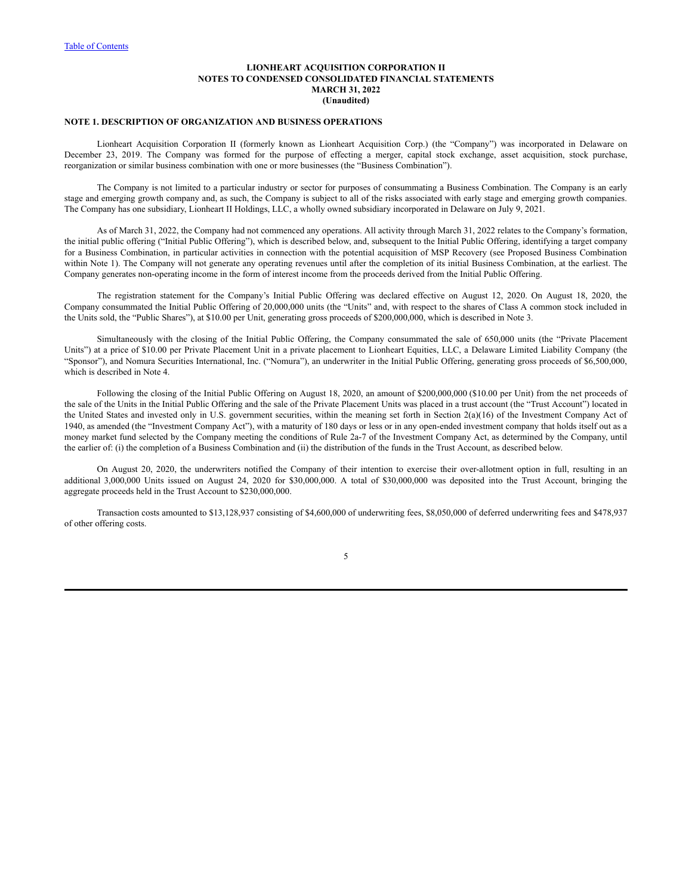### <span id="page-6-0"></span>**NOTE 1. DESCRIPTION OF ORGANIZATION AND BUSINESS OPERATIONS**

Lionheart Acquisition Corporation II (formerly known as Lionheart Acquisition Corp.) (the "Company") was incorporated in Delaware on December 23, 2019. The Company was formed for the purpose of effecting a merger, capital stock exchange, asset acquisition, stock purchase, reorganization or similar business combination with one or more businesses (the "Business Combination").

The Company is not limited to a particular industry or sector for purposes of consummating a Business Combination. The Company is an early stage and emerging growth company and, as such, the Company is subject to all of the risks associated with early stage and emerging growth companies. The Company has one subsidiary, Lionheart II Holdings, LLC, a wholly owned subsidiary incorporated in Delaware on July 9, 2021.

As of March 31, 2022, the Company had not commenced any operations. All activity through March 31, 2022 relates to the Company's formation, the initial public offering ("Initial Public Offering"), which is described below, and, subsequent to the Initial Public Offering, identifying a target company for a Business Combination, in particular activities in connection with the potential acquisition of MSP Recovery (see Proposed Business Combination within Note 1). The Company will not generate any operating revenues until after the completion of its initial Business Combination, at the earliest. The Company generates non-operating income in the form of interest income from the proceeds derived from the Initial Public Offering.

The registration statement for the Company's Initial Public Offering was declared effective on August 12, 2020. On August 18, 2020, the Company consummated the Initial Public Offering of 20,000,000 units (the "Units" and, with respect to the shares of Class A common stock included in the Units sold, the "Public Shares"), at \$10.00 per Unit, generating gross proceeds of \$200,000,000, which is described in Note 3.

Simultaneously with the closing of the Initial Public Offering, the Company consummated the sale of 650,000 units (the "Private Placement Units") at a price of \$10.00 per Private Placement Unit in a private placement to Lionheart Equities, LLC, a Delaware Limited Liability Company (the "Sponsor"), and Nomura Securities International, Inc. ("Nomura"), an underwriter in the Initial Public Offering, generating gross proceeds of \$6,500,000, which is described in Note 4.

Following the closing of the Initial Public Offering on August 18, 2020, an amount of \$200,000,000 (\$10.00 per Unit) from the net proceeds of the sale of the Units in the Initial Public Offering and the sale of the Private Placement Units was placed in a trust account (the "Trust Account") located in the United States and invested only in U.S. government securities, within the meaning set forth in Section  $2(a)(16)$  of the Investment Company Act of 1940, as amended (the "Investment Company Act"), with a maturity of 180 days or less or in any open-ended investment company that holds itself out as a money market fund selected by the Company meeting the conditions of Rule 2a-7 of the Investment Company Act, as determined by the Company, until the earlier of: (i) the completion of a Business Combination and (ii) the distribution of the funds in the Trust Account, as described below.

On August 20, 2020, the underwriters notified the Company of their intention to exercise their over-allotment option in full, resulting in an additional 3,000,000 Units issued on August 24, 2020 for \$30,000,000. A total of \$30,000,000 was deposited into the Trust Account, bringing the aggregate proceeds held in the Trust Account to \$230,000,000.

Transaction costs amounted to \$13,128,937 consisting of \$4,600,000 of underwriting fees, \$8,050,000 of deferred underwriting fees and \$478,937 of other offering costs.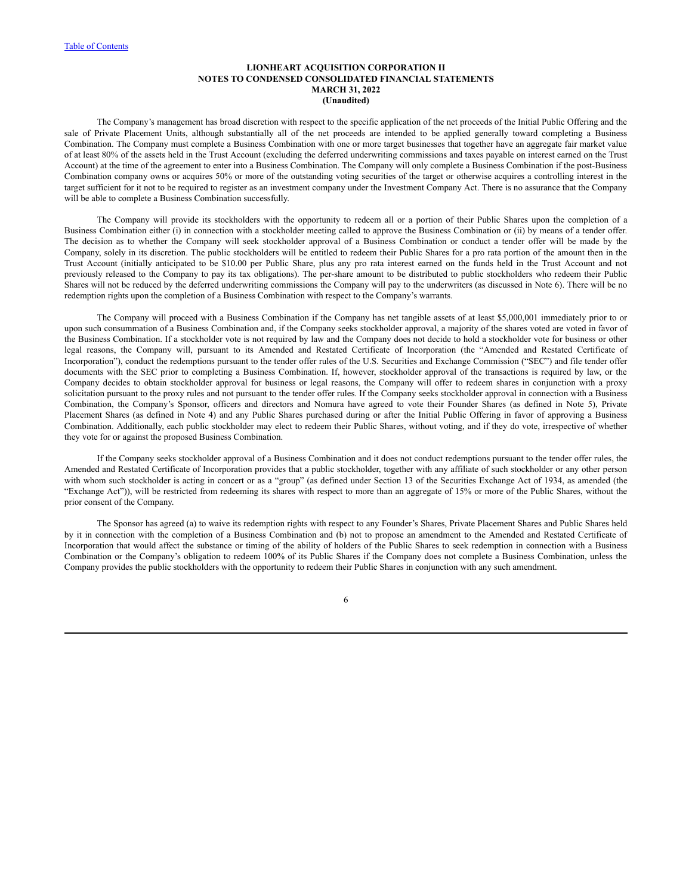The Company's management has broad discretion with respect to the specific application of the net proceeds of the Initial Public Offering and the sale of Private Placement Units, although substantially all of the net proceeds are intended to be applied generally toward completing a Business Combination. The Company must complete a Business Combination with one or more target businesses that together have an aggregate fair market value of at least 80% of the assets held in the Trust Account (excluding the deferred underwriting commissions and taxes payable on interest earned on the Trust Account) at the time of the agreement to enter into a Business Combination. The Company will only complete a Business Combination if the post-Business Combination company owns or acquires 50% or more of the outstanding voting securities of the target or otherwise acquires a controlling interest in the target sufficient for it not to be required to register as an investment company under the Investment Company Act. There is no assurance that the Company will be able to complete a Business Combination successfully.

The Company will provide its stockholders with the opportunity to redeem all or a portion of their Public Shares upon the completion of a Business Combination either (i) in connection with a stockholder meeting called to approve the Business Combination or (ii) by means of a tender offer. The decision as to whether the Company will seek stockholder approval of a Business Combination or conduct a tender offer will be made by the Company, solely in its discretion. The public stockholders will be entitled to redeem their Public Shares for a pro rata portion of the amount then in the Trust Account (initially anticipated to be \$10.00 per Public Share, plus any pro rata interest earned on the funds held in the Trust Account and not previously released to the Company to pay its tax obligations). The per-share amount to be distributed to public stockholders who redeem their Public Shares will not be reduced by the deferred underwriting commissions the Company will pay to the underwriters (as discussed in Note 6). There will be no redemption rights upon the completion of a Business Combination with respect to the Company's warrants.

The Company will proceed with a Business Combination if the Company has net tangible assets of at least \$5,000,001 immediately prior to or upon such consummation of a Business Combination and, if the Company seeks stockholder approval, a majority of the shares voted are voted in favor of the Business Combination. If a stockholder vote is not required by law and the Company does not decide to hold a stockholder vote for business or other legal reasons, the Company will, pursuant to its Amended and Restated Certificate of Incorporation (the "Amended and Restated Certificate of Incorporation"), conduct the redemptions pursuant to the tender offer rules of the U.S. Securities and Exchange Commission ("SEC") and file tender offer documents with the SEC prior to completing a Business Combination. If, however, stockholder approval of the transactions is required by law, or the Company decides to obtain stockholder approval for business or legal reasons, the Company will offer to redeem shares in conjunction with a proxy solicitation pursuant to the proxy rules and not pursuant to the tender offer rules. If the Company seeks stockholder approval in connection with a Business Combination, the Company's Sponsor, officers and directors and Nomura have agreed to vote their Founder Shares (as defined in Note 5), Private Placement Shares (as defined in Note 4) and any Public Shares purchased during or after the Initial Public Offering in favor of approving a Business Combination. Additionally, each public stockholder may elect to redeem their Public Shares, without voting, and if they do vote, irrespective of whether they vote for or against the proposed Business Combination.

If the Company seeks stockholder approval of a Business Combination and it does not conduct redemptions pursuant to the tender offer rules, the Amended and Restated Certificate of Incorporation provides that a public stockholder, together with any affiliate of such stockholder or any other person with whom such stockholder is acting in concert or as a "group" (as defined under Section 13 of the Securities Exchange Act of 1934, as amended (the "Exchange Act")), will be restricted from redeeming its shares with respect to more than an aggregate of 15% or more of the Public Shares, without the prior consent of the Company.

The Sponsor has agreed (a) to waive its redemption rights with respect to any Founder's Shares, Private Placement Shares and Public Shares held by it in connection with the completion of a Business Combination and (b) not to propose an amendment to the Amended and Restated Certificate of Incorporation that would affect the substance or timing of the ability of holders of the Public Shares to seek redemption in connection with a Business Combination or the Company's obligation to redeem 100% of its Public Shares if the Company does not complete a Business Combination, unless the Company provides the public stockholders with the opportunity to redeem their Public Shares in conjunction with any such amendment.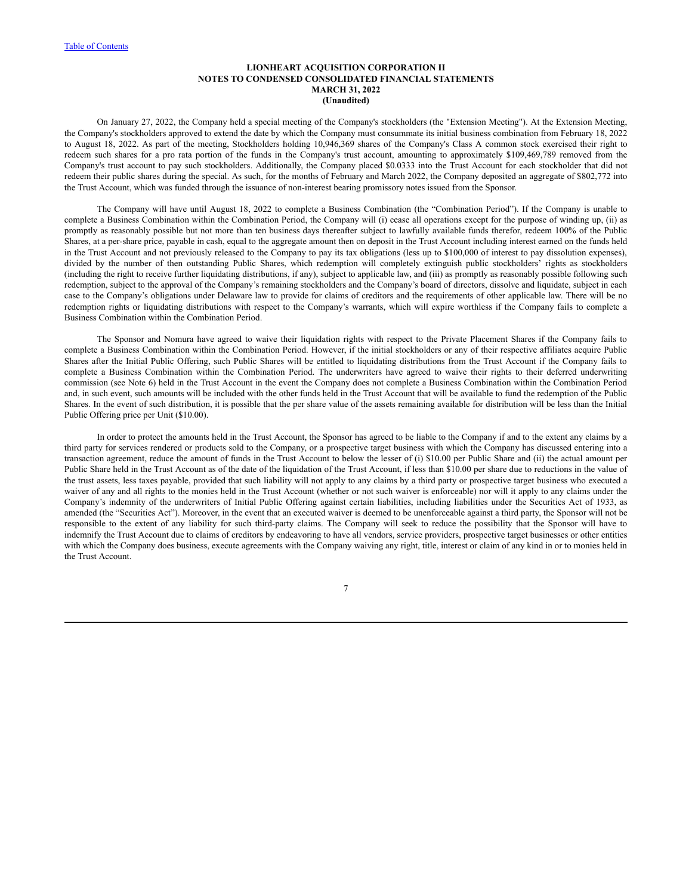On January 27, 2022, the Company held a special meeting of the Company's stockholders (the "Extension Meeting"). At the Extension Meeting, the Company's stockholders approved to extend the date by which the Company must consummate its initial business combination from February 18, 2022 to August 18, 2022. As part of the meeting, Stockholders holding 10,946,369 shares of the Company's Class A common stock exercised their right to redeem such shares for a pro rata portion of the funds in the Company's trust account, amounting to approximately \$109,469,789 removed from the Company's trust account to pay such stockholders. Additionally, the Company placed \$0.0333 into the Trust Account for each stockholder that did not redeem their public shares during the special. As such, for the months of February and March 2022, the Company deposited an aggregate of \$802,772 into the Trust Account, which was funded through the issuance of non-interest bearing promissory notes issued from the Sponsor.

The Company will have until August 18, 2022 to complete a Business Combination (the "Combination Period"). If the Company is unable to complete a Business Combination within the Combination Period, the Company will (i) cease all operations except for the purpose of winding up, (ii) as promptly as reasonably possible but not more than ten business days thereafter subject to lawfully available funds therefor, redeem 100% of the Public Shares, at a per-share price, payable in cash, equal to the aggregate amount then on deposit in the Trust Account including interest earned on the funds held in the Trust Account and not previously released to the Company to pay its tax obligations (less up to \$100,000 of interest to pay dissolution expenses), divided by the number of then outstanding Public Shares, which redemption will completely extinguish public stockholders' rights as stockholders (including the right to receive further liquidating distributions, if any), subject to applicable law, and (iii) as promptly as reasonably possible following such redemption, subject to the approval of the Company's remaining stockholders and the Company's board of directors, dissolve and liquidate, subject in each case to the Company's obligations under Delaware law to provide for claims of creditors and the requirements of other applicable law. There will be no redemption rights or liquidating distributions with respect to the Company's warrants, which will expire worthless if the Company fails to complete a Business Combination within the Combination Period.

The Sponsor and Nomura have agreed to waive their liquidation rights with respect to the Private Placement Shares if the Company fails to complete a Business Combination within the Combination Period. However, if the initial stockholders or any of their respective affiliates acquire Public Shares after the Initial Public Offering, such Public Shares will be entitled to liquidating distributions from the Trust Account if the Company fails to complete a Business Combination within the Combination Period. The underwriters have agreed to waive their rights to their deferred underwriting commission (see Note 6) held in the Trust Account in the event the Company does not complete a Business Combination within the Combination Period and, in such event, such amounts will be included with the other funds held in the Trust Account that will be available to fund the redemption of the Public Shares. In the event of such distribution, it is possible that the per share value of the assets remaining available for distribution will be less than the Initial Public Offering price per Unit (\$10.00).

In order to protect the amounts held in the Trust Account, the Sponsor has agreed to be liable to the Company if and to the extent any claims by a third party for services rendered or products sold to the Company, or a prospective target business with which the Company has discussed entering into a transaction agreement, reduce the amount of funds in the Trust Account to below the lesser of (i) \$10.00 per Public Share and (ii) the actual amount per Public Share held in the Trust Account as of the date of the liquidation of the Trust Account, if less than \$10.00 per share due to reductions in the value of the trust assets, less taxes payable, provided that such liability will not apply to any claims by a third party or prospective target business who executed a waiver of any and all rights to the monies held in the Trust Account (whether or not such waiver is enforceable) nor will it apply to any claims under the Company's indemnity of the underwriters of Initial Public Offering against certain liabilities, including liabilities under the Securities Act of 1933, as amended (the "Securities Act"). Moreover, in the event that an executed waiver is deemed to be unenforceable against a third party, the Sponsor will not be responsible to the extent of any liability for such third-party claims. The Company will seek to reduce the possibility that the Sponsor will have to indemnify the Trust Account due to claims of creditors by endeavoring to have all vendors, service providers, prospective target businesses or other entities with which the Company does business, execute agreements with the Company waiving any right, title, interest or claim of any kind in or to monies held in the Trust Account.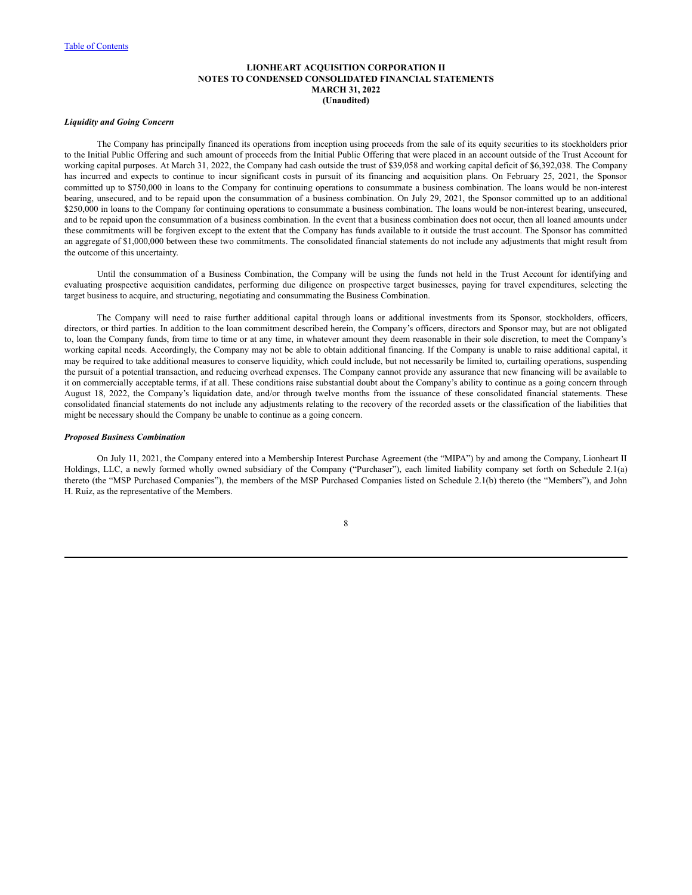## *Liquidity and Going Concern*

The Company has principally financed its operations from inception using proceeds from the sale of its equity securities to its stockholders prior to the Initial Public Offering and such amount of proceeds from the Initial Public Offering that were placed in an account outside of the Trust Account for working capital purposes. At March 31, 2022, the Company had cash outside the trust of \$39,058 and working capital deficit of \$6,392,038. The Company has incurred and expects to continue to incur significant costs in pursuit of its financing and acquisition plans. On February 25, 2021, the Sponsor committed up to \$750,000 in loans to the Company for continuing operations to consummate a business combination. The loans would be non-interest bearing, unsecured, and to be repaid upon the consummation of a business combination. On July 29, 2021, the Sponsor committed up to an additional \$250,000 in loans to the Company for continuing operations to consummate a business combination. The loans would be non-interest bearing, unsecured, and to be repaid upon the consummation of a business combination. In the event that a business combination does not occur, then all loaned amounts under these commitments will be forgiven except to the extent that the Company has funds available to it outside the trust account. The Sponsor has committed an aggregate of \$1,000,000 between these two commitments. The consolidated financial statements do not include any adjustments that might result from the outcome of this uncertainty.

Until the consummation of a Business Combination, the Company will be using the funds not held in the Trust Account for identifying and evaluating prospective acquisition candidates, performing due diligence on prospective target businesses, paying for travel expenditures, selecting the target business to acquire, and structuring, negotiating and consummating the Business Combination.

The Company will need to raise further additional capital through loans or additional investments from its Sponsor, stockholders, officers, directors, or third parties. In addition to the loan commitment described herein, the Company's officers, directors and Sponsor may, but are not obligated to, loan the Company funds, from time to time or at any time, in whatever amount they deem reasonable in their sole discretion, to meet the Company's working capital needs. Accordingly, the Company may not be able to obtain additional financing. If the Company is unable to raise additional capital, it may be required to take additional measures to conserve liquidity, which could include, but not necessarily be limited to, curtailing operations, suspending the pursuit of a potential transaction, and reducing overhead expenses. The Company cannot provide any assurance that new financing will be available to it on commercially acceptable terms, if at all. These conditions raise substantial doubt about the Company's ability to continue as a going concern through August 18, 2022, the Company's liquidation date, and/or through twelve months from the issuance of these consolidated financial statements. These consolidated financial statements do not include any adjustments relating to the recovery of the recorded assets or the classification of the liabilities that might be necessary should the Company be unable to continue as a going concern.

#### *Proposed Business Combination*

On July 11, 2021, the Company entered into a Membership Interest Purchase Agreement (the "MIPA") by and among the Company, Lionheart II Holdings, LLC, a newly formed wholly owned subsidiary of the Company ("Purchaser"), each limited liability company set forth on Schedule 2.1(a) thereto (the "MSP Purchased Companies"), the members of the MSP Purchased Companies listed on Schedule 2.1(b) thereto (the "Members"), and John H. Ruiz, as the representative of the Members.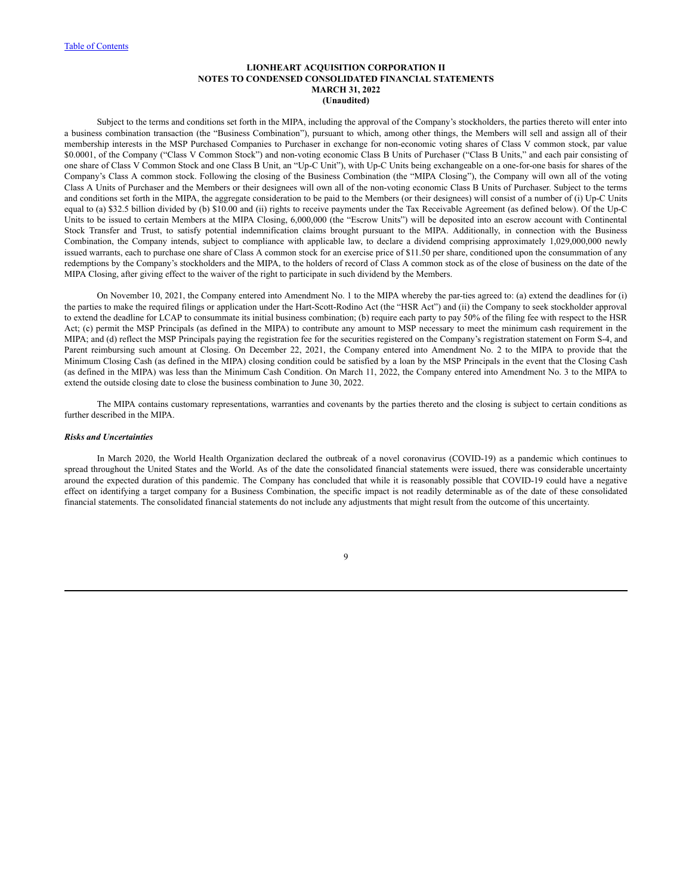Subject to the terms and conditions set forth in the MIPA, including the approval of the Company's stockholders, the parties thereto will enter into a business combination transaction (the "Business Combination"), pursuant to which, among other things, the Members will sell and assign all of their membership interests in the MSP Purchased Companies to Purchaser in exchange for non-economic voting shares of Class V common stock, par value \$0.0001, of the Company ("Class V Common Stock") and non-voting economic Class B Units of Purchaser ("Class B Units," and each pair consisting of one share of Class V Common Stock and one Class B Unit, an "Up-C Unit"), with Up-C Units being exchangeable on a one-for-one basis for shares of the Company's Class A common stock. Following the closing of the Business Combination (the "MIPA Closing"), the Company will own all of the voting Class A Units of Purchaser and the Members or their designees will own all of the non-voting economic Class B Units of Purchaser. Subject to the terms and conditions set forth in the MIPA, the aggregate consideration to be paid to the Members (or their designees) will consist of a number of (i) Up-C Units equal to (a) \$32.5 billion divided by (b) \$10.00 and (ii) rights to receive payments under the Tax Receivable Agreement (as defined below). Of the Up-C Units to be issued to certain Members at the MIPA Closing, 6,000,000 (the "Escrow Units") will be deposited into an escrow account with Continental Stock Transfer and Trust, to satisfy potential indemnification claims brought pursuant to the MIPA. Additionally, in connection with the Business Combination, the Company intends, subject to compliance with applicable law, to declare a dividend comprising approximately 1,029,000,000 newly issued warrants, each to purchase one share of Class A common stock for an exercise price of \$11.50 per share, conditioned upon the consummation of any redemptions by the Company's stockholders and the MIPA, to the holders of record of Class A common stock as of the close of business on the date of the MIPA Closing, after giving effect to the waiver of the right to participate in such dividend by the Members.

On November 10, 2021, the Company entered into Amendment No. 1 to the MIPA whereby the par-ties agreed to: (a) extend the deadlines for (i) the parties to make the required filings or application under the Hart-Scott-Rodino Act (the "HSR Act") and (ii) the Company to seek stockholder approval to extend the deadline for LCAP to consummate its initial business combination; (b) require each party to pay 50% of the filing fee with respect to the HSR Act; (c) permit the MSP Principals (as defined in the MIPA) to contribute any amount to MSP necessary to meet the minimum cash requirement in the MIPA; and (d) reflect the MSP Principals paying the registration fee for the securities registered on the Company's registration statement on Form S-4, and Parent reimbursing such amount at Closing. On December 22, 2021, the Company entered into Amendment No. 2 to the MIPA to provide that the Minimum Closing Cash (as defined in the MIPA) closing condition could be satisfied by a loan by the MSP Principals in the event that the Closing Cash (as defined in the MIPA) was less than the Minimum Cash Condition. On March 11, 2022, the Company entered into Amendment No. 3 to the MIPA to extend the outside closing date to close the business combination to June 30, 2022.

The MIPA contains customary representations, warranties and covenants by the parties thereto and the closing is subject to certain conditions as further described in the MIPA.

### *Risks and Uncertainties*

In March 2020, the World Health Organization declared the outbreak of a novel coronavirus (COVID-19) as a pandemic which continues to spread throughout the United States and the World. As of the date the consolidated financial statements were issued, there was considerable uncertainty around the expected duration of this pandemic. The Company has concluded that while it is reasonably possible that COVID-19 could have a negative effect on identifying a target company for a Business Combination, the specific impact is not readily determinable as of the date of these consolidated financial statements. The consolidated financial statements do not include any adjustments that might result from the outcome of this uncertainty.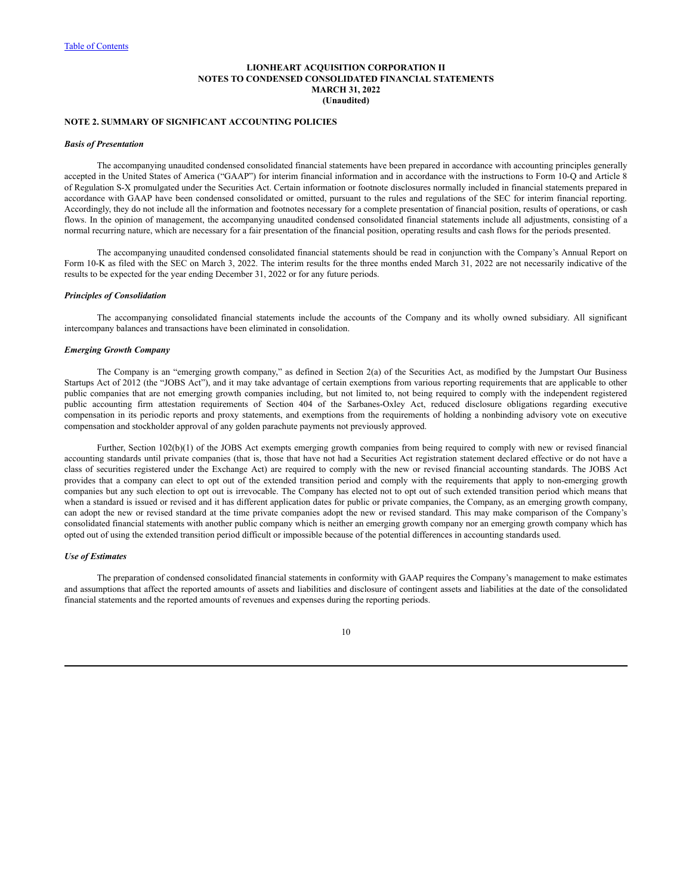## **NOTE 2. SUMMARY OF SIGNIFICANT ACCOUNTING POLICIES**

#### *Basis of Presentation*

The accompanying unaudited condensed consolidated financial statements have been prepared in accordance with accounting principles generally accepted in the United States of America ("GAAP") for interim financial information and in accordance with the instructions to Form 10-Q and Article 8 of Regulation S-X promulgated under the Securities Act. Certain information or footnote disclosures normally included in financial statements prepared in accordance with GAAP have been condensed consolidated or omitted, pursuant to the rules and regulations of the SEC for interim financial reporting. Accordingly, they do not include all the information and footnotes necessary for a complete presentation of financial position, results of operations, or cash flows. In the opinion of management, the accompanying unaudited condensed consolidated financial statements include all adjustments, consisting of a normal recurring nature, which are necessary for a fair presentation of the financial position, operating results and cash flows for the periods presented.

The accompanying unaudited condensed consolidated financial statements should be read in conjunction with the Company's Annual Report on Form 10-K as filed with the SEC on March 3, 2022. The interim results for the three months ended March 31, 2022 are not necessarily indicative of the results to be expected for the year ending December 31, 2022 or for any future periods.

### *Principles of Consolidation*

The accompanying consolidated financial statements include the accounts of the Company and its wholly owned subsidiary. All significant intercompany balances and transactions have been eliminated in consolidation.

#### *Emerging Growth Company*

The Company is an "emerging growth company," as defined in Section 2(a) of the Securities Act, as modified by the Jumpstart Our Business Startups Act of 2012 (the "JOBS Act"), and it may take advantage of certain exemptions from various reporting requirements that are applicable to other public companies that are not emerging growth companies including, but not limited to, not being required to comply with the independent registered public accounting firm attestation requirements of Section 404 of the Sarbanes-Oxley Act, reduced disclosure obligations regarding executive compensation in its periodic reports and proxy statements, and exemptions from the requirements of holding a nonbinding advisory vote on executive compensation and stockholder approval of any golden parachute payments not previously approved.

Further, Section 102(b)(1) of the JOBS Act exempts emerging growth companies from being required to comply with new or revised financial accounting standards until private companies (that is, those that have not had a Securities Act registration statement declared effective or do not have a class of securities registered under the Exchange Act) are required to comply with the new or revised financial accounting standards. The JOBS Act provides that a company can elect to opt out of the extended transition period and comply with the requirements that apply to non-emerging growth companies but any such election to opt out is irrevocable. The Company has elected not to opt out of such extended transition period which means that when a standard is issued or revised and it has different application dates for public or private companies, the Company, as an emerging growth company, can adopt the new or revised standard at the time private companies adopt the new or revised standard. This may make comparison of the Company's consolidated financial statements with another public company which is neither an emerging growth company nor an emerging growth company which has opted out of using the extended transition period difficult or impossible because of the potential differences in accounting standards used.

#### *Use of Estimates*

The preparation of condensed consolidated financial statements in conformity with GAAP requires the Company's management to make estimates and assumptions that affect the reported amounts of assets and liabilities and disclosure of contingent assets and liabilities at the date of the consolidated financial statements and the reported amounts of revenues and expenses during the reporting periods.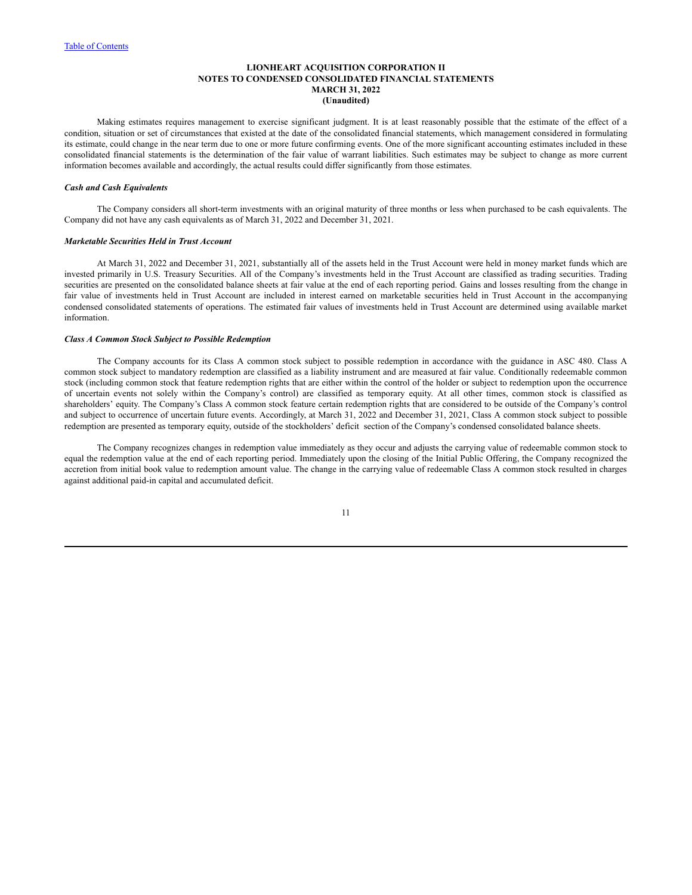Making estimates requires management to exercise significant judgment. It is at least reasonably possible that the estimate of the effect of a condition, situation or set of circumstances that existed at the date of the consolidated financial statements, which management considered in formulating its estimate, could change in the near term due to one or more future confirming events. One of the more significant accounting estimates included in these consolidated financial statements is the determination of the fair value of warrant liabilities. Such estimates may be subject to change as more current information becomes available and accordingly, the actual results could differ significantly from those estimates.

## *Cash and Cash Equivalents*

The Company considers all short-term investments with an original maturity of three months or less when purchased to be cash equivalents. The Company did not have any cash equivalents as of March 31, 2022 and December 31, 2021.

#### *Marketable Securities Held in Trust Account*

At March 31, 2022 and December 31, 2021, substantially all of the assets held in the Trust Account were held in money market funds which are invested primarily in U.S. Treasury Securities. All of the Company's investments held in the Trust Account are classified as trading securities. Trading securities are presented on the consolidated balance sheets at fair value at the end of each reporting period. Gains and losses resulting from the change in fair value of investments held in Trust Account are included in interest earned on marketable securities held in Trust Account in the accompanying condensed consolidated statements of operations. The estimated fair values of investments held in Trust Account are determined using available market information.

#### *Class A Common Stock Subject to Possible Redemption*

The Company accounts for its Class A common stock subject to possible redemption in accordance with the guidance in ASC 480. Class A common stock subject to mandatory redemption are classified as a liability instrument and are measured at fair value. Conditionally redeemable common stock (including common stock that feature redemption rights that are either within the control of the holder or subject to redemption upon the occurrence of uncertain events not solely within the Company's control) are classified as temporary equity. At all other times, common stock is classified as shareholders' equity. The Company's Class A common stock feature certain redemption rights that are considered to be outside of the Company's control and subject to occurrence of uncertain future events. Accordingly, at March 31, 2022 and December 31, 2021, Class A common stock subject to possible redemption are presented as temporary equity, outside of the stockholders' deficit section of the Company's condensed consolidated balance sheets.

The Company recognizes changes in redemption value immediately as they occur and adjusts the carrying value of redeemable common stock to equal the redemption value at the end of each reporting period. Immediately upon the closing of the Initial Public Offering, the Company recognized the accretion from initial book value to redemption amount value. The change in the carrying value of redeemable Class A common stock resulted in charges against additional paid-in capital and accumulated deficit.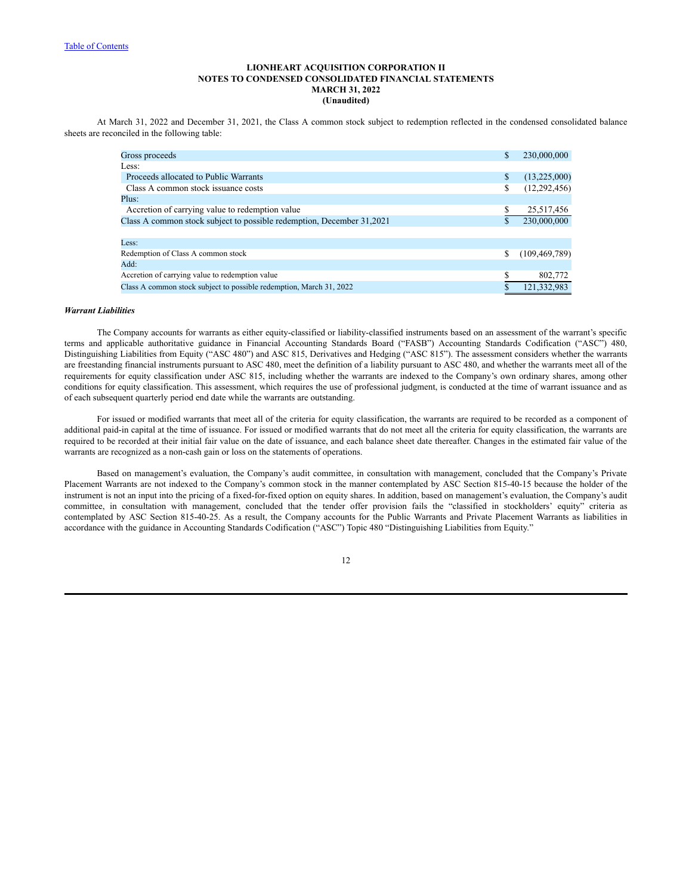At March 31, 2022 and December 31, 2021, the Class A common stock subject to redemption reflected in the condensed consolidated balance sheets are reconciled in the following table:

| Gross proceeds                                                        | S  | 230,000,000     |
|-----------------------------------------------------------------------|----|-----------------|
| Less:                                                                 |    |                 |
| Proceeds allocated to Public Warrants                                 | \$ | (13,225,000)    |
| Class A common stock issuance costs                                   | \$ | (12, 292, 456)  |
| Plus:                                                                 |    |                 |
| Accretion of carrying value to redemption value                       |    | 25,517,456      |
| Class A common stock subject to possible redemption, December 31,2021 |    | 230,000,000     |
|                                                                       |    |                 |
| Less:                                                                 |    |                 |
| Redemption of Class A common stock                                    |    | (109, 469, 789) |
| Add:                                                                  |    |                 |
| Accretion of carrying value to redemption value                       |    | 802,772         |
| Class A common stock subject to possible redemption, March 31, 2022   |    | 121,332,983     |
|                                                                       |    |                 |

#### *Warrant Liabilities*

The Company accounts for warrants as either equity-classified or liability-classified instruments based on an assessment of the warrant's specific terms and applicable authoritative guidance in Financial Accounting Standards Board ("FASB") Accounting Standards Codification ("ASC") 480, Distinguishing Liabilities from Equity ("ASC 480") and ASC 815, Derivatives and Hedging ("ASC 815"). The assessment considers whether the warrants are freestanding financial instruments pursuant to ASC 480, meet the definition of a liability pursuant to ASC 480, and whether the warrants meet all of the requirements for equity classification under ASC 815, including whether the warrants are indexed to the Company's own ordinary shares, among other conditions for equity classification. This assessment, which requires the use of professional judgment, is conducted at the time of warrant issuance and as of each subsequent quarterly period end date while the warrants are outstanding.

For issued or modified warrants that meet all of the criteria for equity classification, the warrants are required to be recorded as a component of additional paid-in capital at the time of issuance. For issued or modified warrants that do not meet all the criteria for equity classification, the warrants are required to be recorded at their initial fair value on the date of issuance, and each balance sheet date thereafter. Changes in the estimated fair value of the warrants are recognized as a non-cash gain or loss on the statements of operations.

Based on management's evaluation, the Company's audit committee, in consultation with management, concluded that the Company's Private Placement Warrants are not indexed to the Company's common stock in the manner contemplated by ASC Section 815-40-15 because the holder of the instrument is not an input into the pricing of a fixed-for-fixed option on equity shares. In addition, based on management's evaluation, the Company's audit committee, in consultation with management, concluded that the tender offer provision fails the "classified in stockholders' equity" criteria as contemplated by ASC Section 815-40-25. As a result, the Company accounts for the Public Warrants and Private Placement Warrants as liabilities in accordance with the guidance in Accounting Standards Codification ("ASC") Topic 480 "Distinguishing Liabilities from Equity."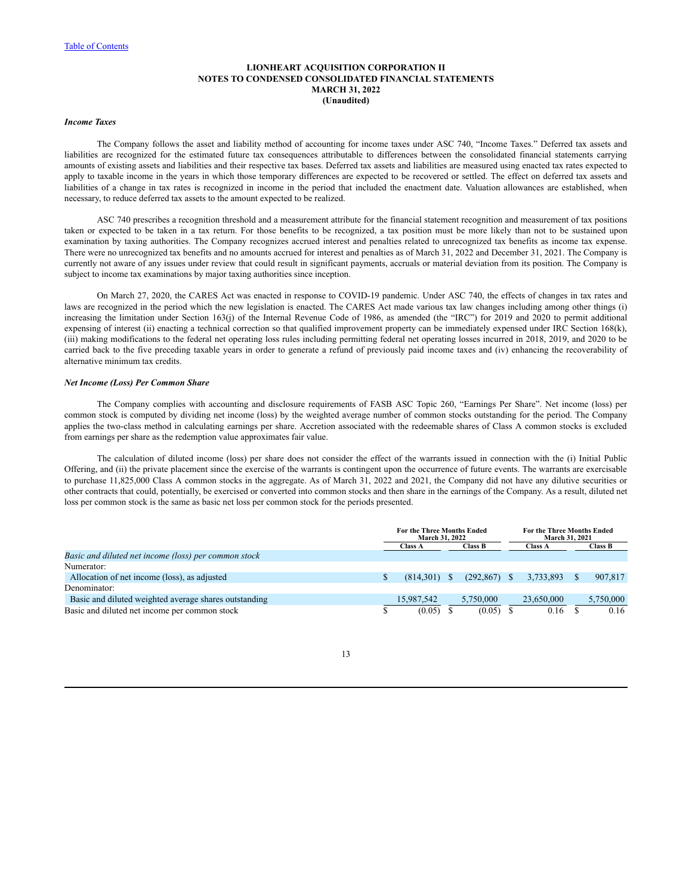## *Income Taxes*

The Company follows the asset and liability method of accounting for income taxes under ASC 740, "Income Taxes." Deferred tax assets and liabilities are recognized for the estimated future tax consequences attributable to differences between the consolidated financial statements carrying amounts of existing assets and liabilities and their respective tax bases. Deferred tax assets and liabilities are measured using enacted tax rates expected to apply to taxable income in the years in which those temporary differences are expected to be recovered or settled. The effect on deferred tax assets and liabilities of a change in tax rates is recognized in income in the period that included the enactment date. Valuation allowances are established, when necessary, to reduce deferred tax assets to the amount expected to be realized.

ASC 740 prescribes a recognition threshold and a measurement attribute for the financial statement recognition and measurement of tax positions taken or expected to be taken in a tax return. For those benefits to be recognized, a tax position must be more likely than not to be sustained upon examination by taxing authorities. The Company recognizes accrued interest and penalties related to unrecognized tax benefits as income tax expense. There were no unrecognized tax benefits and no amounts accrued for interest and penalties as of March 31, 2022 and December 31, 2021. The Company is currently not aware of any issues under review that could result in significant payments, accruals or material deviation from its position. The Company is subject to income tax examinations by major taxing authorities since inception.

On March 27, 2020, the CARES Act was enacted in response to COVID-19 pandemic. Under ASC 740, the effects of changes in tax rates and laws are recognized in the period which the new legislation is enacted. The CARES Act made various tax law changes including among other things (i) increasing the limitation under Section 163(j) of the Internal Revenue Code of 1986, as amended (the "IRC") for 2019 and 2020 to permit additional expensing of interest (ii) enacting a technical correction so that qualified improvement property can be immediately expensed under IRC Section 168(k), (iii) making modifications to the federal net operating loss rules including permitting federal net operating losses incurred in 2018, 2019, and 2020 to be carried back to the five preceding taxable years in order to generate a refund of previously paid income taxes and (iv) enhancing the recoverability of alternative minimum tax credits.

#### *Net Income (Loss) Per Common Share*

The Company complies with accounting and disclosure requirements of FASB ASC Topic 260, "Earnings Per Share". Net income (loss) per common stock is computed by dividing net income (loss) by the weighted average number of common stocks outstanding for the period. The Company applies the two-class method in calculating earnings per share. Accretion associated with the redeemable shares of Class A common stocks is excluded from earnings per share as the redemption value approximates fair value.

The calculation of diluted income (loss) per share does not consider the effect of the warrants issued in connection with the (i) Initial Public Offering, and (ii) the private placement since the exercise of the warrants is contingent upon the occurrence of future events. The warrants are exercisable to purchase 11,825,000 Class A common stocks in the aggregate. As of March 31, 2022 and 2021, the Company did not have any dilutive securities or other contracts that could, potentially, be exercised or converted into common stocks and then share in the earnings of the Company. As a result, diluted net loss per common stock is the same as basic net loss per common stock for the periods presented.

|                                                       | <b>For the Three Months Ended</b><br><b>March 31, 2022</b> |            |    | <b>For the Three Months Ended</b><br><b>March 31, 2021</b> |               |                |  |                |
|-------------------------------------------------------|------------------------------------------------------------|------------|----|------------------------------------------------------------|---------------|----------------|--|----------------|
|                                                       |                                                            | Class A    |    | <b>Class B</b>                                             |               | <b>Class A</b> |  | <b>Class B</b> |
| Basic and diluted net income (loss) per common stock  |                                                            |            |    |                                                            |               |                |  |                |
| Numerator:                                            |                                                            |            |    |                                                            |               |                |  |                |
| Allocation of net income (loss), as adjusted          |                                                            | (814.301)  | S. | (292.867)                                                  | <sup>\$</sup> | 3,733,893      |  | 907.817        |
| Denominator:                                          |                                                            |            |    |                                                            |               |                |  |                |
| Basic and diluted weighted average shares outstanding |                                                            | 15.987.542 |    | 5.750,000                                                  |               | 23.650.000     |  | 5,750,000      |
| Basic and diluted net income per common stock         |                                                            | (0.05)     |    | (0.05)                                                     |               | 0.16           |  | 0.16           |

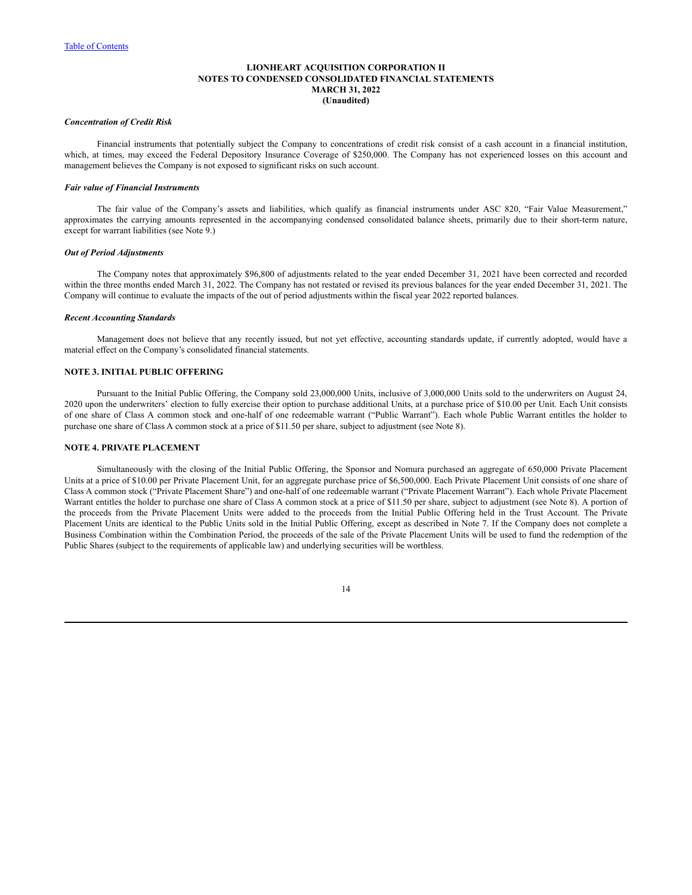## *Concentration of Credit Risk*

Financial instruments that potentially subject the Company to concentrations of credit risk consist of a cash account in a financial institution, which, at times, may exceed the Federal Depository Insurance Coverage of \$250,000. The Company has not experienced losses on this account and management believes the Company is not exposed to significant risks on such account.

#### *Fair value of Financial Instruments*

The fair value of the Company's assets and liabilities, which qualify as financial instruments under ASC 820, "Fair Value Measurement," approximates the carrying amounts represented in the accompanying condensed consolidated balance sheets, primarily due to their short-term nature, except for warrant liabilities (see Note 9.)

#### *Out of Period Adjustments*

The Company notes that approximately \$96,800 of adjustments related to the year ended December 31, 2021 have been corrected and recorded within the three months ended March 31, 2022. The Company has not restated or revised its previous balances for the year ended December 31, 2021. The Company will continue to evaluate the impacts of the out of period adjustments within the fiscal year 2022 reported balances.

### *Recent Accounting Standards*

Management does not believe that any recently issued, but not yet effective, accounting standards update, if currently adopted, would have a material effect on the Company's consolidated financial statements.

# **NOTE 3. INITIAL PUBLIC OFFERING**

Pursuant to the Initial Public Offering, the Company sold 23,000,000 Units, inclusive of 3,000,000 Units sold to the underwriters on August 24, 2020 upon the underwriters' election to fully exercise their option to purchase additional Units, at a purchase price of \$10.00 per Unit. Each Unit consists of one share of Class A common stock and one-half of one redeemable warrant ("Public Warrant"). Each whole Public Warrant entitles the holder to purchase one share of Class A common stock at a price of \$11.50 per share, subject to adjustment (see Note 8).

#### **NOTE 4. PRIVATE PLACEMENT**

Simultaneously with the closing of the Initial Public Offering, the Sponsor and Nomura purchased an aggregate of 650,000 Private Placement Units at a price of \$10.00 per Private Placement Unit, for an aggregate purchase price of \$6,500,000. Each Private Placement Unit consists of one share of Class A common stock ("Private Placement Share") and one-half of one redeemable warrant ("Private Placement Warrant"). Each whole Private Placement Warrant entitles the holder to purchase one share of Class A common stock at a price of \$11.50 per share, subject to adjustment (see Note 8). A portion of the proceeds from the Private Placement Units were added to the proceeds from the Initial Public Offering held in the Trust Account. The Private Placement Units are identical to the Public Units sold in the Initial Public Offering, except as described in Note 7. If the Company does not complete a Business Combination within the Combination Period, the proceeds of the sale of the Private Placement Units will be used to fund the redemption of the Public Shares (subject to the requirements of applicable law) and underlying securities will be worthless.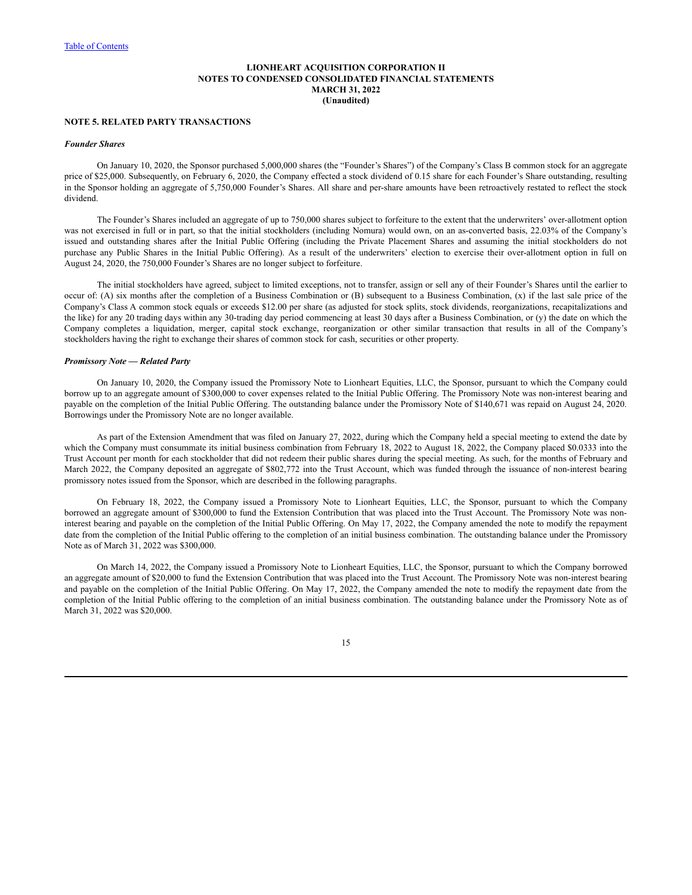#### **NOTE 5. RELATED PARTY TRANSACTIONS**

#### *Founder Shares*

On January 10, 2020, the Sponsor purchased 5,000,000 shares (the "Founder's Shares") of the Company's Class B common stock for an aggregate price of \$25,000. Subsequently, on February 6, 2020, the Company effected a stock dividend of 0.15 share for each Founder's Share outstanding, resulting in the Sponsor holding an aggregate of 5,750,000 Founder's Shares. All share and per-share amounts have been retroactively restated to reflect the stock dividend.

The Founder's Shares included an aggregate of up to 750,000 shares subject to forfeiture to the extent that the underwriters' over-allotment option was not exercised in full or in part, so that the initial stockholders (including Nomura) would own, on an as-converted basis, 22.03% of the Company's issued and outstanding shares after the Initial Public Offering (including the Private Placement Shares and assuming the initial stockholders do not purchase any Public Shares in the Initial Public Offering). As a result of the underwriters' election to exercise their over-allotment option in full on August 24, 2020, the 750,000 Founder's Shares are no longer subject to forfeiture.

The initial stockholders have agreed, subject to limited exceptions, not to transfer, assign or sell any of their Founder's Shares until the earlier to occur of: (A) six months after the completion of a Business Combination or (B) subsequent to a Business Combination, (x) if the last sale price of the Company's Class A common stock equals or exceeds \$12.00 per share (as adjusted for stock splits, stock dividends, reorganizations, recapitalizations and the like) for any 20 trading days within any 30-trading day period commencing at least 30 days after a Business Combination, or (y) the date on which the Company completes a liquidation, merger, capital stock exchange, reorganization or other similar transaction that results in all of the Company's stockholders having the right to exchange their shares of common stock for cash, securities or other property.

## *Promissory Note — Related Party*

On January 10, 2020, the Company issued the Promissory Note to Lionheart Equities, LLC, the Sponsor, pursuant to which the Company could borrow up to an aggregate amount of \$300,000 to cover expenses related to the Initial Public Offering. The Promissory Note was non-interest bearing and payable on the completion of the Initial Public Offering. The outstanding balance under the Promissory Note of \$140,671 was repaid on August 24, 2020. Borrowings under the Promissory Note are no longer available.

As part of the Extension Amendment that was filed on January 27, 2022, during which the Company held a special meeting to extend the date by which the Company must consummate its initial business combination from February 18, 2022 to August 18, 2022, the Company placed \$0.0333 into the Trust Account per month for each stockholder that did not redeem their public shares during the special meeting. As such, for the months of February and March 2022, the Company deposited an aggregate of \$802,772 into the Trust Account, which was funded through the issuance of non-interest bearing promissory notes issued from the Sponsor, which are described in the following paragraphs.

On February 18, 2022, the Company issued a Promissory Note to Lionheart Equities, LLC, the Sponsor, pursuant to which the Company borrowed an aggregate amount of \$300,000 to fund the Extension Contribution that was placed into the Trust Account. The Promissory Note was noninterest bearing and payable on the completion of the Initial Public Offering. On May 17, 2022, the Company amended the note to modify the repayment date from the completion of the Initial Public offering to the completion of an initial business combination. The outstanding balance under the Promissory Note as of March 31, 2022 was \$300,000.

On March 14, 2022, the Company issued a Promissory Note to Lionheart Equities, LLC, the Sponsor, pursuant to which the Company borrowed an aggregate amount of \$20,000 to fund the Extension Contribution that was placed into the Trust Account. The Promissory Note was non-interest bearing and payable on the completion of the Initial Public Offering. On May 17, 2022, the Company amended the note to modify the repayment date from the completion of the Initial Public offering to the completion of an initial business combination. The outstanding balance under the Promissory Note as of March 31, 2022 was \$20,000.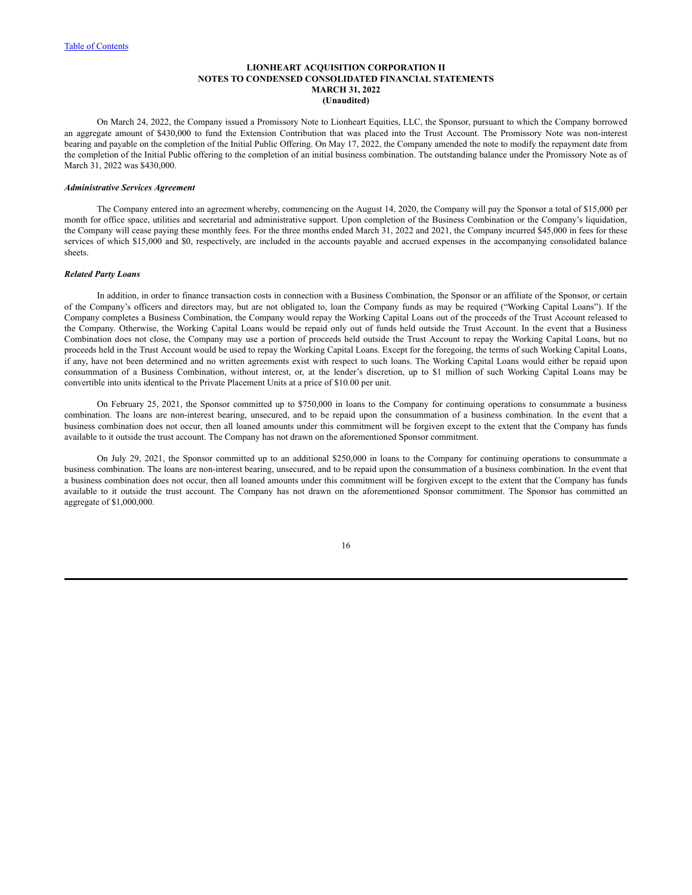On March 24, 2022, the Company issued a Promissory Note to Lionheart Equities, LLC, the Sponsor, pursuant to which the Company borrowed an aggregate amount of \$430,000 to fund the Extension Contribution that was placed into the Trust Account. The Promissory Note was non-interest bearing and payable on the completion of the Initial Public Offering. On May 17, 2022, the Company amended the note to modify the repayment date from the completion of the Initial Public offering to the completion of an initial business combination. The outstanding balance under the Promissory Note as of March 31, 2022 was \$430,000.

## *Administrative Services Agreement*

The Company entered into an agreement whereby, commencing on the August 14, 2020, the Company will pay the Sponsor a total of \$15,000 per month for office space, utilities and secretarial and administrative support. Upon completion of the Business Combination or the Company's liquidation, the Company will cease paying these monthly fees. For the three months ended March 31, 2022 and 2021, the Company incurred \$45,000 in fees for these services of which \$15,000 and \$0, respectively, are included in the accounts payable and accrued expenses in the accompanying consolidated balance sheets.

#### *Related Party Loans*

In addition, in order to finance transaction costs in connection with a Business Combination, the Sponsor or an affiliate of the Sponsor, or certain of the Company's officers and directors may, but are not obligated to, loan the Company funds as may be required ("Working Capital Loans"). If the Company completes a Business Combination, the Company would repay the Working Capital Loans out of the proceeds of the Trust Account released to the Company. Otherwise, the Working Capital Loans would be repaid only out of funds held outside the Trust Account. In the event that a Business Combination does not close, the Company may use a portion of proceeds held outside the Trust Account to repay the Working Capital Loans, but no proceeds held in the Trust Account would be used to repay the Working Capital Loans. Except for the foregoing, the terms of such Working Capital Loans, if any, have not been determined and no written agreements exist with respect to such loans. The Working Capital Loans would either be repaid upon consummation of a Business Combination, without interest, or, at the lender's discretion, up to \$1 million of such Working Capital Loans may be convertible into units identical to the Private Placement Units at a price of \$10.00 per unit.

On February 25, 2021, the Sponsor committed up to \$750,000 in loans to the Company for continuing operations to consummate a business combination. The loans are non-interest bearing, unsecured, and to be repaid upon the consummation of a business combination. In the event that a business combination does not occur, then all loaned amounts under this commitment will be forgiven except to the extent that the Company has funds available to it outside the trust account. The Company has not drawn on the aforementioned Sponsor commitment.

On July 29, 2021, the Sponsor committed up to an additional \$250,000 in loans to the Company for continuing operations to consummate a business combination. The loans are non-interest bearing, unsecured, and to be repaid upon the consummation of a business combination. In the event that a business combination does not occur, then all loaned amounts under this commitment will be forgiven except to the extent that the Company has funds available to it outside the trust account. The Company has not drawn on the aforementioned Sponsor commitment. The Sponsor has committed an aggregate of \$1,000,000.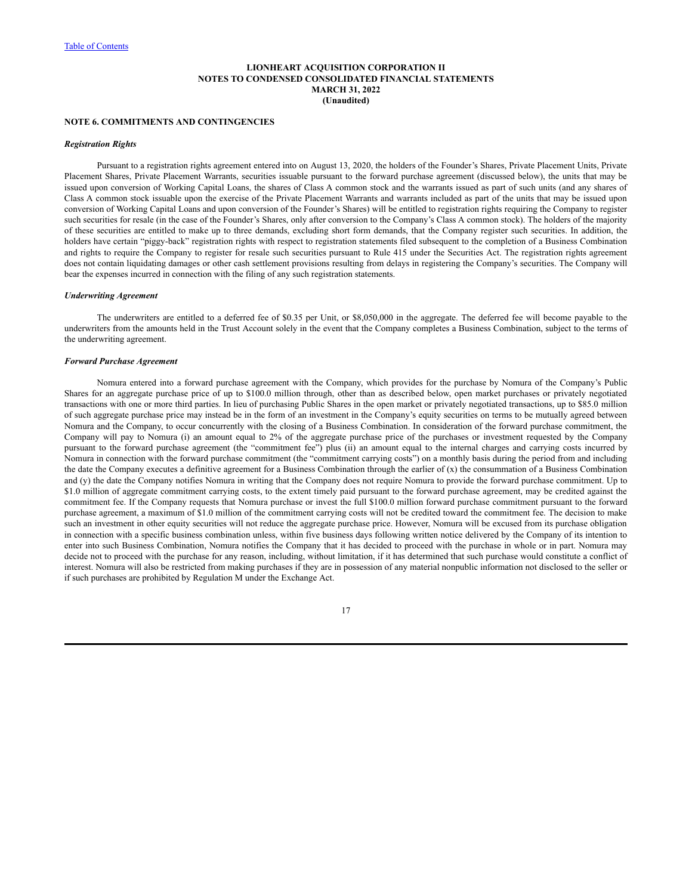#### **NOTE 6. COMMITMENTS AND CONTINGENCIES**

#### *Registration Rights*

Pursuant to a registration rights agreement entered into on August 13, 2020, the holders of the Founder's Shares, Private Placement Units, Private Placement Shares, Private Placement Warrants, securities issuable pursuant to the forward purchase agreement (discussed below), the units that may be issued upon conversion of Working Capital Loans, the shares of Class A common stock and the warrants issued as part of such units (and any shares of Class A common stock issuable upon the exercise of the Private Placement Warrants and warrants included as part of the units that may be issued upon conversion of Working Capital Loans and upon conversion of the Founder's Shares) will be entitled to registration rights requiring the Company to register such securities for resale (in the case of the Founder's Shares, only after conversion to the Company's Class A common stock). The holders of the majority of these securities are entitled to make up to three demands, excluding short form demands, that the Company register such securities. In addition, the holders have certain "piggy-back" registration rights with respect to registration statements filed subsequent to the completion of a Business Combination and rights to require the Company to register for resale such securities pursuant to Rule 415 under the Securities Act. The registration rights agreement does not contain liquidating damages or other cash settlement provisions resulting from delays in registering the Company's securities. The Company will bear the expenses incurred in connection with the filing of any such registration statements.

#### *Underwriting Agreement*

The underwriters are entitled to a deferred fee of \$0.35 per Unit, or \$8,050,000 in the aggregate. The deferred fee will become payable to the underwriters from the amounts held in the Trust Account solely in the event that the Company completes a Business Combination, subject to the terms of the underwriting agreement.

#### *Forward Purchase Agreement*

Nomura entered into a forward purchase agreement with the Company, which provides for the purchase by Nomura of the Company's Public Shares for an aggregate purchase price of up to \$100.0 million through, other than as described below, open market purchases or privately negotiated transactions with one or more third parties. In lieu of purchasing Public Shares in the open market or privately negotiated transactions, up to \$85.0 million of such aggregate purchase price may instead be in the form of an investment in the Company's equity securities on terms to be mutually agreed between Nomura and the Company, to occur concurrently with the closing of a Business Combination. In consideration of the forward purchase commitment, the Company will pay to Nomura (i) an amount equal to 2% of the aggregate purchase price of the purchases or investment requested by the Company pursuant to the forward purchase agreement (the "commitment fee") plus (ii) an amount equal to the internal charges and carrying costs incurred by Nomura in connection with the forward purchase commitment (the "commitment carrying costs") on a monthly basis during the period from and including the date the Company executes a definitive agreement for a Business Combination through the earlier of  $(x)$  the consummation of a Business Combination and (y) the date the Company notifies Nomura in writing that the Company does not require Nomura to provide the forward purchase commitment. Up to \$1.0 million of aggregate commitment carrying costs, to the extent timely paid pursuant to the forward purchase agreement, may be credited against the commitment fee. If the Company requests that Nomura purchase or invest the full \$100.0 million forward purchase commitment pursuant to the forward purchase agreement, a maximum of \$1.0 million of the commitment carrying costs will not be credited toward the commitment fee. The decision to make such an investment in other equity securities will not reduce the aggregate purchase price. However, Nomura will be excused from its purchase obligation in connection with a specific business combination unless, within five business days following written notice delivered by the Company of its intention to enter into such Business Combination, Nomura notifies the Company that it has decided to proceed with the purchase in whole or in part. Nomura may decide not to proceed with the purchase for any reason, including, without limitation, if it has determined that such purchase would constitute a conflict of interest. Nomura will also be restricted from making purchases if they are in possession of any material nonpublic information not disclosed to the seller or if such purchases are prohibited by Regulation M under the Exchange Act.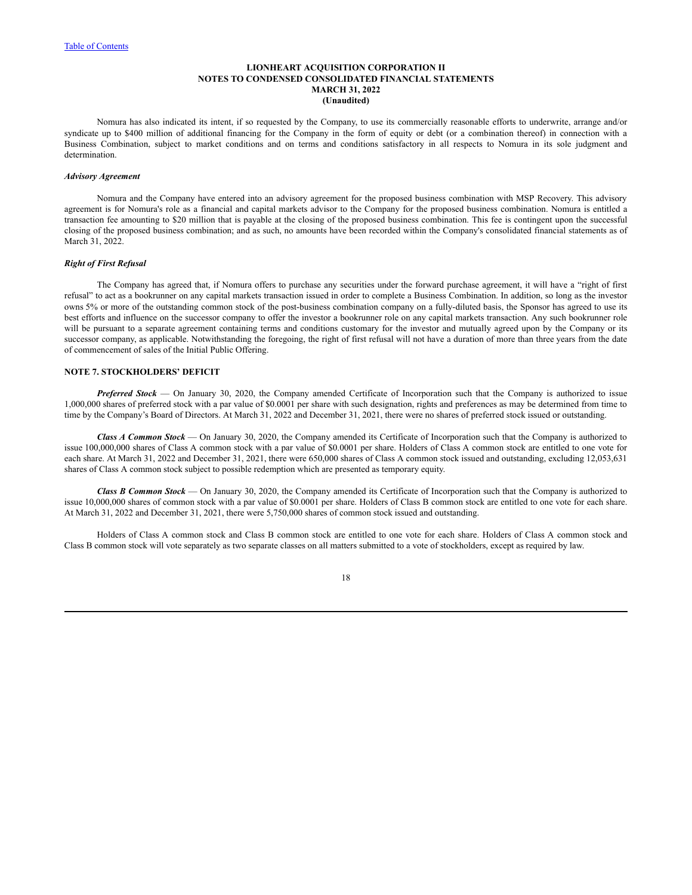Nomura has also indicated its intent, if so requested by the Company, to use its commercially reasonable efforts to underwrite, arrange and/or syndicate up to \$400 million of additional financing for the Company in the form of equity or debt (or a combination thereof) in connection with a Business Combination, subject to market conditions and on terms and conditions satisfactory in all respects to Nomura in its sole judgment and determination.

## *Advisory Agreement*

Nomura and the Company have entered into an advisory agreement for the proposed business combination with MSP Recovery. This advisory agreement is for Nomura's role as a financial and capital markets advisor to the Company for the proposed business combination. Nomura is entitled a transaction fee amounting to \$20 million that is payable at the closing of the proposed business combination. This fee is contingent upon the successful closing of the proposed business combination; and as such, no amounts have been recorded within the Company's consolidated financial statements as of March 31, 2022.

## *Right of First Refusal*

The Company has agreed that, if Nomura offers to purchase any securities under the forward purchase agreement, it will have a "right of first refusal" to act as a bookrunner on any capital markets transaction issued in order to complete a Business Combination. In addition, so long as the investor owns 5% or more of the outstanding common stock of the post-business combination company on a fully-diluted basis, the Sponsor has agreed to use its best efforts and influence on the successor company to offer the investor a bookrunner role on any capital markets transaction. Any such bookrunner role will be pursuant to a separate agreement containing terms and conditions customary for the investor and mutually agreed upon by the Company or its successor company, as applicable. Notwithstanding the foregoing, the right of first refusal will not have a duration of more than three years from the date of commencement of sales of the Initial Public Offering.

# **NOTE 7. STOCKHOLDERS' DEFICIT**

*Preferred Stock* — On January 30, 2020, the Company amended Certificate of Incorporation such that the Company is authorized to issue 1,000,000 shares of preferred stock with a par value of \$0.0001 per share with such designation, rights and preferences as may be determined from time to time by the Company's Board of Directors. At March 31, 2022 and December 31, 2021, there were no shares of preferred stock issued or outstanding.

*Class A Common Stock* — On January 30, 2020, the Company amended its Certificate of Incorporation such that the Company is authorized to issue 100,000,000 shares of Class A common stock with a par value of \$0.0001 per share. Holders of Class A common stock are entitled to one vote for each share. At March 31, 2022 and December 31, 2021, there were 650,000 shares of Class A common stock issued and outstanding, excluding 12,053,631 shares of Class A common stock subject to possible redemption which are presented as temporary equity.

*Class B Common Stock* — On January 30, 2020, the Company amended its Certificate of Incorporation such that the Company is authorized to issue 10,000,000 shares of common stock with a par value of \$0.0001 per share. Holders of Class B common stock are entitled to one vote for each share. At March 31, 2022 and December 31, 2021, there were 5,750,000 shares of common stock issued and outstanding.

Holders of Class A common stock and Class B common stock are entitled to one vote for each share. Holders of Class A common stock and Class B common stock will vote separately as two separate classes on all matters submitted to a vote of stockholders, except as required by law.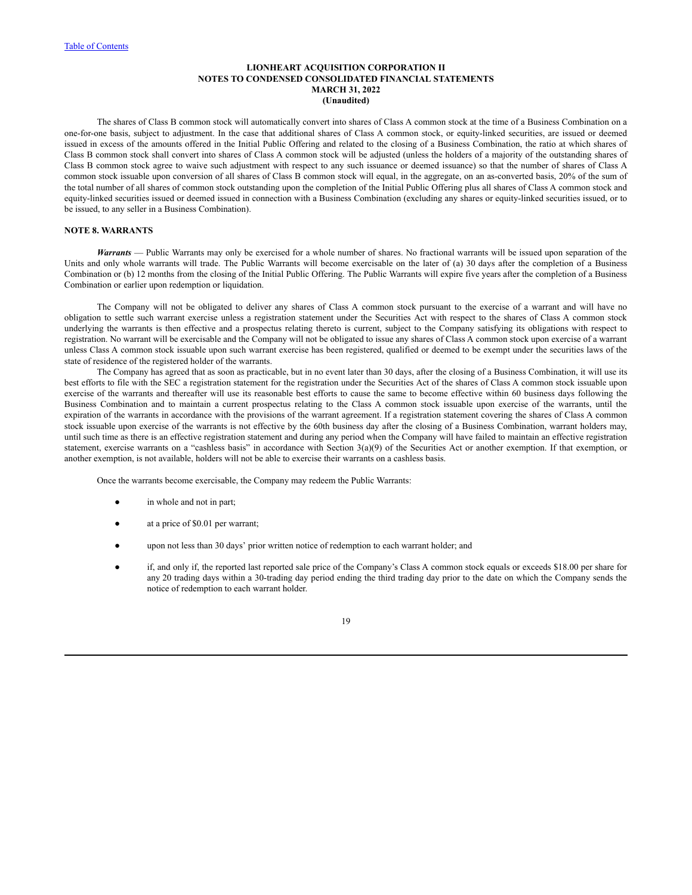The shares of Class B common stock will automatically convert into shares of Class A common stock at the time of a Business Combination on a one-for-one basis, subject to adjustment. In the case that additional shares of Class A common stock, or equity-linked securities, are issued or deemed issued in excess of the amounts offered in the Initial Public Offering and related to the closing of a Business Combination, the ratio at which shares of Class B common stock shall convert into shares of Class A common stock will be adjusted (unless the holders of a majority of the outstanding shares of Class B common stock agree to waive such adjustment with respect to any such issuance or deemed issuance) so that the number of shares of Class A common stock issuable upon conversion of all shares of Class B common stock will equal, in the aggregate, on an as-converted basis, 20% of the sum of the total number of all shares of common stock outstanding upon the completion of the Initial Public Offering plus all shares of Class A common stock and equity-linked securities issued or deemed issued in connection with a Business Combination (excluding any shares or equity-linked securities issued, or to be issued, to any seller in a Business Combination).

# **NOTE 8. WARRANTS**

*Warrants* — Public Warrants may only be exercised for a whole number of shares. No fractional warrants will be issued upon separation of the Units and only whole warrants will trade. The Public Warrants will become exercisable on the later of (a) 30 days after the completion of a Business Combination or (b) 12 months from the closing of the Initial Public Offering. The Public Warrants will expire five years after the completion of a Business Combination or earlier upon redemption or liquidation.

The Company will not be obligated to deliver any shares of Class A common stock pursuant to the exercise of a warrant and will have no obligation to settle such warrant exercise unless a registration statement under the Securities Act with respect to the shares of Class A common stock underlying the warrants is then effective and a prospectus relating thereto is current, subject to the Company satisfying its obligations with respect to registration. No warrant will be exercisable and the Company will not be obligated to issue any shares of Class A common stock upon exercise of a warrant unless Class A common stock issuable upon such warrant exercise has been registered, qualified or deemed to be exempt under the securities laws of the state of residence of the registered holder of the warrants.

The Company has agreed that as soon as practicable, but in no event later than 30 days, after the closing of a Business Combination, it will use its best efforts to file with the SEC a registration statement for the registration under the Securities Act of the shares of Class A common stock issuable upon exercise of the warrants and thereafter will use its reasonable best efforts to cause the same to become effective within 60 business days following the Business Combination and to maintain a current prospectus relating to the Class A common stock issuable upon exercise of the warrants, until the expiration of the warrants in accordance with the provisions of the warrant agreement. If a registration statement covering the shares of Class A common stock issuable upon exercise of the warrants is not effective by the 60th business day after the closing of a Business Combination, warrant holders may, until such time as there is an effective registration statement and during any period when the Company will have failed to maintain an effective registration statement, exercise warrants on a "cashless basis" in accordance with Section 3(a)(9) of the Securities Act or another exemption. If that exemption, or another exemption, is not available, holders will not be able to exercise their warrants on a cashless basis.

Once the warrants become exercisable, the Company may redeem the Public Warrants:

- in whole and not in part;
- at a price of \$0.01 per warrant;
- upon not less than 30 days' prior written notice of redemption to each warrant holder; and
- if, and only if, the reported last reported sale price of the Company's Class A common stock equals or exceeds \$18.00 per share for any 20 trading days within a 30-trading day period ending the third trading day prior to the date on which the Company sends the notice of redemption to each warrant holder.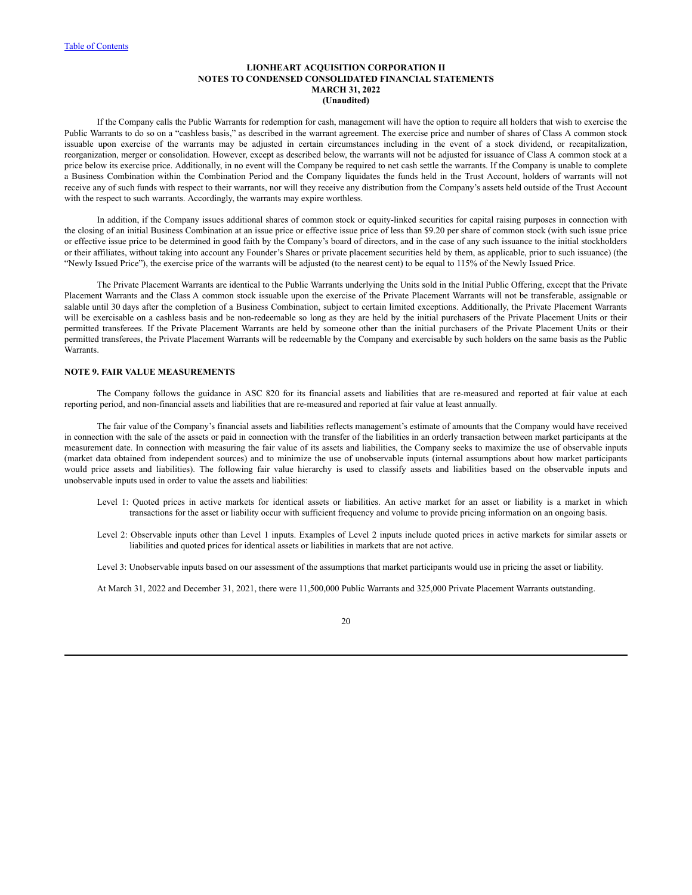If the Company calls the Public Warrants for redemption for cash, management will have the option to require all holders that wish to exercise the Public Warrants to do so on a "cashless basis," as described in the warrant agreement. The exercise price and number of shares of Class A common stock issuable upon exercise of the warrants may be adjusted in certain circumstances including in the event of a stock dividend, or recapitalization, reorganization, merger or consolidation. However, except as described below, the warrants will not be adjusted for issuance of Class A common stock at a price below its exercise price. Additionally, in no event will the Company be required to net cash settle the warrants. If the Company is unable to complete a Business Combination within the Combination Period and the Company liquidates the funds held in the Trust Account, holders of warrants will not receive any of such funds with respect to their warrants, nor will they receive any distribution from the Company's assets held outside of the Trust Account with the respect to such warrants. Accordingly, the warrants may expire worthless.

In addition, if the Company issues additional shares of common stock or equity-linked securities for capital raising purposes in connection with the closing of an initial Business Combination at an issue price or effective issue price of less than \$9.20 per share of common stock (with such issue price or effective issue price to be determined in good faith by the Company's board of directors, and in the case of any such issuance to the initial stockholders or their affiliates, without taking into account any Founder's Shares or private placement securities held by them, as applicable, prior to such issuance) (the "Newly Issued Price"), the exercise price of the warrants will be adjusted (to the nearest cent) to be equal to 115% of the Newly Issued Price.

The Private Placement Warrants are identical to the Public Warrants underlying the Units sold in the Initial Public Offering, except that the Private Placement Warrants and the Class A common stock issuable upon the exercise of the Private Placement Warrants will not be transferable, assignable or salable until 30 days after the completion of a Business Combination, subject to certain limited exceptions. Additionally, the Private Placement Warrants will be exercisable on a cashless basis and be non-redeemable so long as they are held by the initial purchasers of the Private Placement Units or their permitted transferees. If the Private Placement Warrants are held by someone other than the initial purchasers of the Private Placement Units or their permitted transferees, the Private Placement Warrants will be redeemable by the Company and exercisable by such holders on the same basis as the Public Warrants.

# **NOTE 9. FAIR VALUE MEASUREMENTS**

The Company follows the guidance in ASC 820 for its financial assets and liabilities that are re-measured and reported at fair value at each reporting period, and non-financial assets and liabilities that are re-measured and reported at fair value at least annually.

The fair value of the Company's financial assets and liabilities reflects management's estimate of amounts that the Company would have received in connection with the sale of the assets or paid in connection with the transfer of the liabilities in an orderly transaction between market participants at the measurement date. In connection with measuring the fair value of its assets and liabilities, the Company seeks to maximize the use of observable inputs (market data obtained from independent sources) and to minimize the use of unobservable inputs (internal assumptions about how market participants would price assets and liabilities). The following fair value hierarchy is used to classify assets and liabilities based on the observable inputs and unobservable inputs used in order to value the assets and liabilities:

- Level 1: Quoted prices in active markets for identical assets or liabilities. An active market for an asset or liability is a market in which transactions for the asset or liability occur with sufficient frequency and volume to provide pricing information on an ongoing basis.
- Level 2: Observable inputs other than Level 1 inputs. Examples of Level 2 inputs include quoted prices in active markets for similar assets or liabilities and quoted prices for identical assets or liabilities in markets that are not active.
- Level 3: Unobservable inputs based on our assessment of the assumptions that market participants would use in pricing the asset or liability.

At March 31, 2022 and December 31, 2021, there were 11,500,000 Public Warrants and 325,000 Private Placement Warrants outstanding.

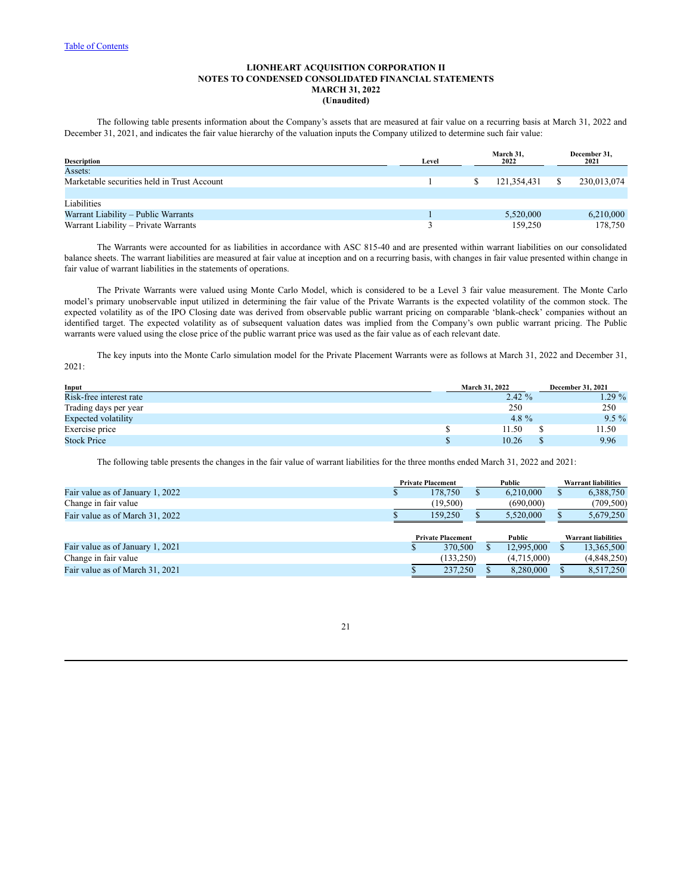The following table presents information about the Company's assets that are measured at fair value on a recurring basis at March 31, 2022 and December 31, 2021, and indicates the fair value hierarchy of the valuation inputs the Company utilized to determine such fair value:

| <b>Description</b>                          | Level | March 31,<br>2022 |             |     |             |  | December 31,<br>2021 |
|---------------------------------------------|-------|-------------------|-------------|-----|-------------|--|----------------------|
| Assets:                                     |       |                   |             |     |             |  |                      |
| Marketable securities held in Trust Account |       |                   | 121.354.431 | - S | 230,013,074 |  |                      |
|                                             |       |                   |             |     |             |  |                      |
| Liabilities                                 |       |                   |             |     |             |  |                      |
| Warrant Liability – Public Warrants         |       |                   | 5,520,000   |     | 6,210,000   |  |                      |
| Warrant Liability - Private Warrants        |       |                   | 159,250     |     | 178,750     |  |                      |

The Warrants were accounted for as liabilities in accordance with ASC 815-40 and are presented within warrant liabilities on our consolidated balance sheets. The warrant liabilities are measured at fair value at inception and on a recurring basis, with changes in fair value presented within change in fair value of warrant liabilities in the statements of operations.

The Private Warrants were valued using Monte Carlo Model, which is considered to be a Level 3 fair value measurement. The Monte Carlo model's primary unobservable input utilized in determining the fair value of the Private Warrants is the expected volatility of the common stock. The expected volatility as of the IPO Closing date was derived from observable public warrant pricing on comparable 'blank-check' companies without an identified target. The expected volatility as of subsequent valuation dates was implied from the Company's own public warrant pricing. The Public warrants were valued using the close price of the public warrant price was used as the fair value as of each relevant date.

The key inputs into the Monte Carlo simulation model for the Private Placement Warrants were as follows at March 31, 2022 and December 31, 2021:

| Input                      | <b>March 31, 2022</b> | <b>December 31, 2021</b> |  |  |
|----------------------------|-----------------------|--------------------------|--|--|
| Risk-free interest rate    | $2.42 \%$             | $1.29\%$                 |  |  |
| Trading days per year      | 250                   | 250                      |  |  |
| <b>Expected volatility</b> | 4.8 $%$               | $9.5\%$                  |  |  |
| Exercise price             | 11.50                 | 11.50                    |  |  |
| <b>Stock Price</b>         | 10.26                 | 9.96                     |  |  |

The following table presents the changes in the fair value of warrant liabilities for the three months ended March 31, 2022 and 2021:

|                                  | <b>Private Placement</b> |            |        | Public                     |  | <b>Warrant liabilities</b> |  |
|----------------------------------|--------------------------|------------|--------|----------------------------|--|----------------------------|--|
| Fair value as of January 1, 2022 |                          | 178,750    |        | 6.210.000                  |  | 6,388,750                  |  |
| Change in fair value             |                          | (19,500)   |        | (690,000)                  |  | (709, 500)                 |  |
| Fair value as of March 31, 2022  |                          | 159,250    |        | 5.520,000                  |  | 5,679,250                  |  |
|                                  |                          |            |        |                            |  |                            |  |
|                                  | <b>Private Placement</b> |            | Public | <b>Warrant liabilities</b> |  |                            |  |
| Fair value as of January 1, 2021 |                          | 370,500    |        | 12,995,000                 |  | 13,365,500                 |  |
| Change in fair value             |                          | (133, 250) |        | (4,715,000)                |  | (4,848,250)                |  |
| Fair value as of March 31, 2021  |                          | 237,250    |        | 8.280,000                  |  | 8,517,250                  |  |
|                                  |                          |            |        |                            |  |                            |  |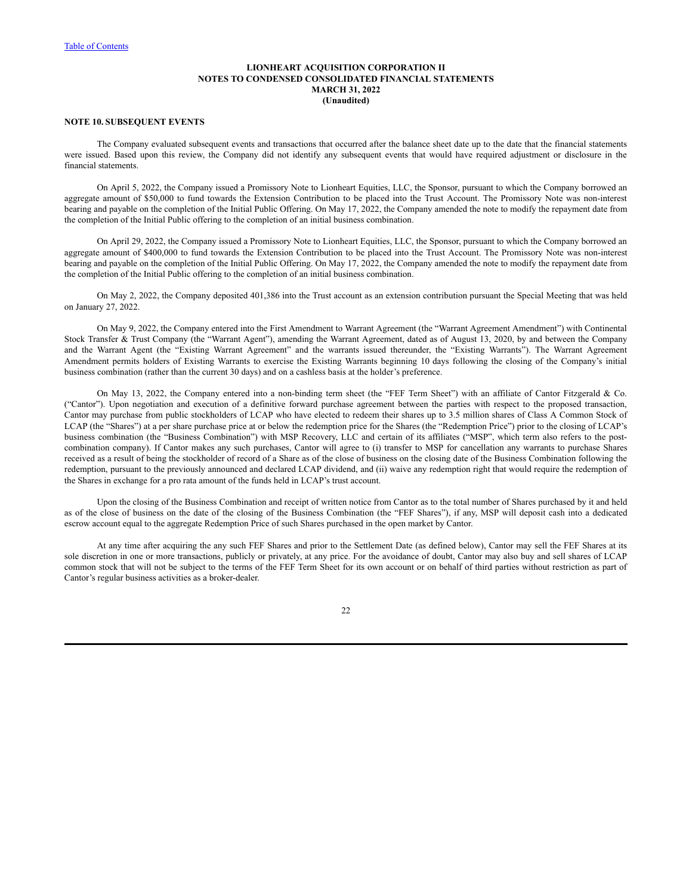## **NOTE 10. SUBSEQUENT EVENTS**

The Company evaluated subsequent events and transactions that occurred after the balance sheet date up to the date that the financial statements were issued. Based upon this review, the Company did not identify any subsequent events that would have required adjustment or disclosure in the financial statements.

On April 5, 2022, the Company issued a Promissory Note to Lionheart Equities, LLC, the Sponsor, pursuant to which the Company borrowed an aggregate amount of \$50,000 to fund towards the Extension Contribution to be placed into the Trust Account. The Promissory Note was non-interest bearing and payable on the completion of the Initial Public Offering. On May 17, 2022, the Company amended the note to modify the repayment date from the completion of the Initial Public offering to the completion of an initial business combination.

On April 29, 2022, the Company issued a Promissory Note to Lionheart Equities, LLC, the Sponsor, pursuant to which the Company borrowed an aggregate amount of \$400,000 to fund towards the Extension Contribution to be placed into the Trust Account. The Promissory Note was non-interest bearing and payable on the completion of the Initial Public Offering. On May 17, 2022, the Company amended the note to modify the repayment date from the completion of the Initial Public offering to the completion of an initial business combination.

On May 2, 2022, the Company deposited 401,386 into the Trust account as an extension contribution pursuant the Special Meeting that was held on January 27, 2022.

On May 9, 2022, the Company entered into the First Amendment to Warrant Agreement (the "Warrant Agreement Amendment") with Continental Stock Transfer & Trust Company (the "Warrant Agent"), amending the Warrant Agreement, dated as of August 13, 2020, by and between the Company and the Warrant Agent (the "Existing Warrant Agreement" and the warrants issued thereunder, the "Existing Warrants"). The Warrant Agreement Amendment permits holders of Existing Warrants to exercise the Existing Warrants beginning 10 days following the closing of the Company's initial business combination (rather than the current 30 days) and on a cashless basis at the holder's preference.

On May 13, 2022, the Company entered into a non-binding term sheet (the "FEF Term Sheet") with an affiliate of Cantor Fitzgerald & Co. ("Cantor"). Upon negotiation and execution of a definitive forward purchase agreement between the parties with respect to the proposed transaction, Cantor may purchase from public stockholders of LCAP who have elected to redeem their shares up to 3.5 million shares of Class A Common Stock of LCAP (the "Shares") at a per share purchase price at or below the redemption price for the Shares (the "Redemption Price") prior to the closing of LCAP's business combination (the "Business Combination") with MSP Recovery, LLC and certain of its affiliates ("MSP", which term also refers to the postcombination company). If Cantor makes any such purchases, Cantor will agree to (i) transfer to MSP for cancellation any warrants to purchase Shares received as a result of being the stockholder of record of a Share as of the close of business on the closing date of the Business Combination following the redemption, pursuant to the previously announced and declared LCAP dividend, and (ii) waive any redemption right that would require the redemption of the Shares in exchange for a pro rata amount of the funds held in LCAP's trust account.

Upon the closing of the Business Combination and receipt of written notice from Cantor as to the total number of Shares purchased by it and held as of the close of business on the date of the closing of the Business Combination (the "FEF Shares"), if any, MSP will deposit cash into a dedicated escrow account equal to the aggregate Redemption Price of such Shares purchased in the open market by Cantor.

At any time after acquiring the any such FEF Shares and prior to the Settlement Date (as defined below), Cantor may sell the FEF Shares at its sole discretion in one or more transactions, publicly or privately, at any price. For the avoidance of doubt, Cantor may also buy and sell shares of LCAP common stock that will not be subject to the terms of the FEF Term Sheet for its own account or on behalf of third parties without restriction as part of Cantor's regular business activities as a broker-dealer.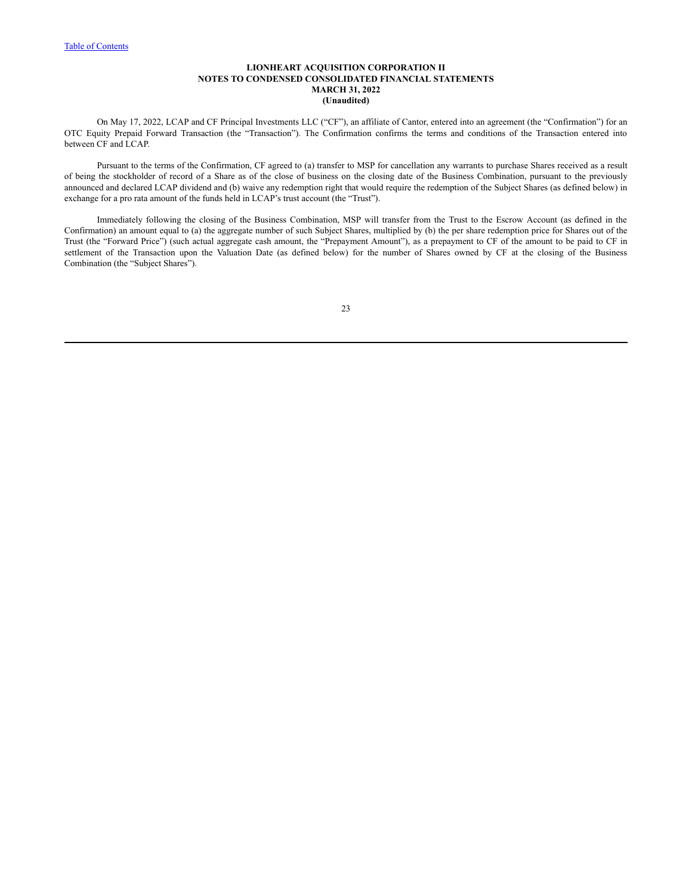On May 17, 2022, LCAP and CF Principal Investments LLC ("CF"), an affiliate of Cantor, entered into an agreement (the "Confirmation") for an OTC Equity Prepaid Forward Transaction (the "Transaction"). The Confirmation confirms the terms and conditions of the Transaction entered into between CF and LCAP.

Pursuant to the terms of the Confirmation, CF agreed to (a) transfer to MSP for cancellation any warrants to purchase Shares received as a result of being the stockholder of record of a Share as of the close of business on the closing date of the Business Combination, pursuant to the previously announced and declared LCAP dividend and (b) waive any redemption right that would require the redemption of the Subject Shares (as defined below) in exchange for a pro rata amount of the funds held in LCAP's trust account (the "Trust").

Immediately following the closing of the Business Combination, MSP will transfer from the Trust to the Escrow Account (as defined in the Confirmation) an amount equal to (a) the aggregate number of such Subject Shares, multiplied by (b) the per share redemption price for Shares out of the Trust (the "Forward Price") (such actual aggregate cash amount, the "Prepayment Amount"), as a prepayment to CF of the amount to be paid to CF in settlement of the Transaction upon the Valuation Date (as defined below) for the number of Shares owned by CF at the closing of the Business Combination (the "Subject Shares").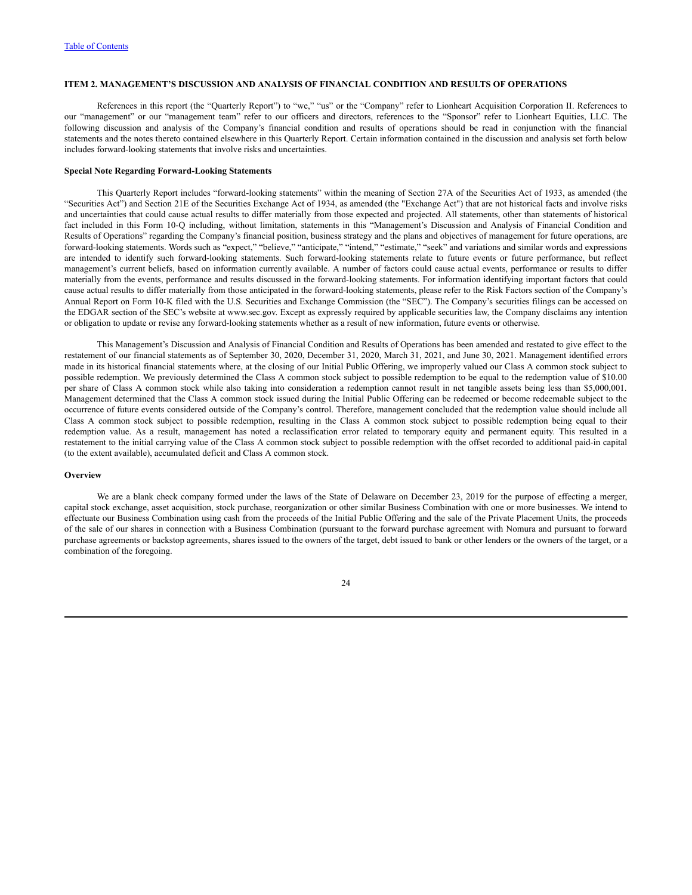# <span id="page-25-0"></span>**ITEM 2. MANAGEMENT'S DISCUSSION AND ANALYSIS OF FINANCIAL CONDITION AND RESULTS OF OPERATIONS**

References in this report (the "Quarterly Report") to "we," "us" or the "Company" refer to Lionheart Acquisition Corporation II. References to our "management" or our "management team" refer to our officers and directors, references to the "Sponsor" refer to Lionheart Equities, LLC. The following discussion and analysis of the Company's financial condition and results of operations should be read in conjunction with the financial statements and the notes thereto contained elsewhere in this Quarterly Report. Certain information contained in the discussion and analysis set forth below includes forward-looking statements that involve risks and uncertainties.

## **Special Note Regarding Forward-Looking Statements**

This Quarterly Report includes "forward-looking statements" within the meaning of Section 27A of the Securities Act of 1933, as amended (the "Securities Act") and Section 21E of the Securities Exchange Act of 1934, as amended (the "Exchange Act") that are not historical facts and involve risks and uncertainties that could cause actual results to differ materially from those expected and projected. All statements, other than statements of historical fact included in this Form 10-Q including, without limitation, statements in this "Management's Discussion and Analysis of Financial Condition and Results of Operations" regarding the Company's financial position, business strategy and the plans and objectives of management for future operations, are forward-looking statements. Words such as "expect," "believe," "anticipate," "intend," "estimate," "seek" and variations and similar words and expressions are intended to identify such forward-looking statements. Such forward-looking statements relate to future events or future performance, but reflect management's current beliefs, based on information currently available. A number of factors could cause actual events, performance or results to differ materially from the events, performance and results discussed in the forward-looking statements. For information identifying important factors that could cause actual results to differ materially from those anticipated in the forward-looking statements, please refer to the Risk Factors section of the Company's Annual Report on Form 10-K filed with the U.S. Securities and Exchange Commission (the "SEC"). The Company's securities filings can be accessed on the EDGAR section of the SEC's website at www.sec.gov. Except as expressly required by applicable securities law, the Company disclaims any intention or obligation to update or revise any forward-looking statements whether as a result of new information, future events or otherwise.

This Management's Discussion and Analysis of Financial Condition and Results of Operations has been amended and restated to give effect to the restatement of our financial statements as of September 30, 2020, December 31, 2020, March 31, 2021, and June 30, 2021. Management identified errors made in its historical financial statements where, at the closing of our Initial Public Offering, we improperly valued our Class A common stock subject to possible redemption. We previously determined the Class A common stock subject to possible redemption to be equal to the redemption value of \$10.00 per share of Class A common stock while also taking into consideration a redemption cannot result in net tangible assets being less than \$5,000,001. Management determined that the Class A common stock issued during the Initial Public Offering can be redeemed or become redeemable subject to the occurrence of future events considered outside of the Company's control. Therefore, management concluded that the redemption value should include all Class A common stock subject to possible redemption, resulting in the Class A common stock subject to possible redemption being equal to their redemption value. As a result, management has noted a reclassification error related to temporary equity and permanent equity. This resulted in a restatement to the initial carrying value of the Class A common stock subject to possible redemption with the offset recorded to additional paid-in capital (to the extent available), accumulated deficit and Class A common stock.

#### **Overview**

We are a blank check company formed under the laws of the State of Delaware on December 23, 2019 for the purpose of effecting a merger, capital stock exchange, asset acquisition, stock purchase, reorganization or other similar Business Combination with one or more businesses. We intend to effectuate our Business Combination using cash from the proceeds of the Initial Public Offering and the sale of the Private Placement Units, the proceeds of the sale of our shares in connection with a Business Combination (pursuant to the forward purchase agreement with Nomura and pursuant to forward purchase agreements or backstop agreements, shares issued to the owners of the target, debt issued to bank or other lenders or the owners of the target, or a combination of the foregoing.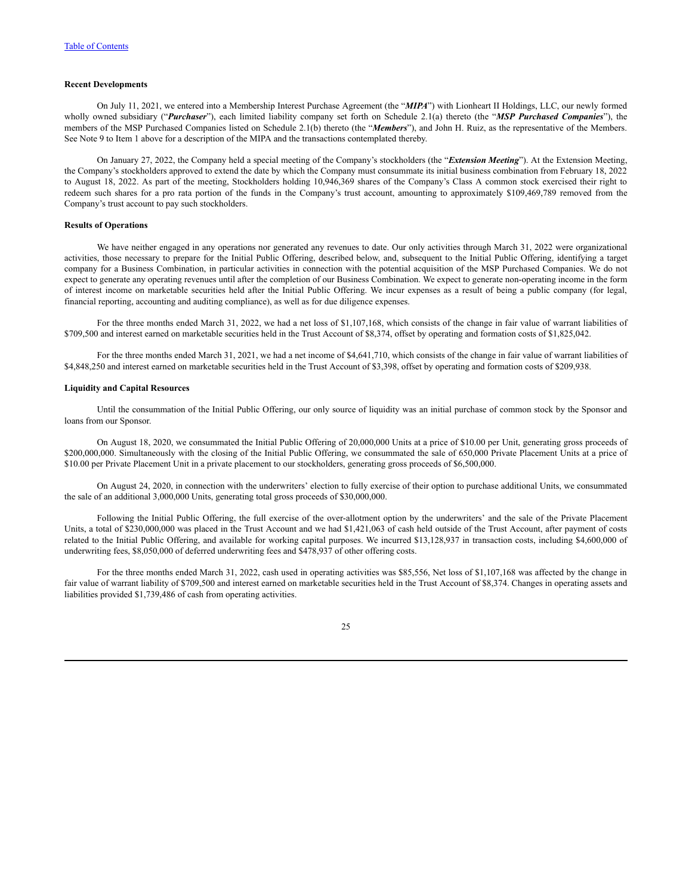## **Recent Developments**

On July 11, 2021, we entered into a Membership Interest Purchase Agreement (the "*MIPA*") with Lionheart II Holdings, LLC, our newly formed wholly owned subsidiary ("*Purchaser*"), each limited liability company set forth on Schedule 2.1(a) thereto (the "*MSP Purchased Companies*"), the members of the MSP Purchased Companies listed on Schedule 2.1(b) thereto (the "*Members*"), and John H. Ruiz, as the representative of the Members. See Note 9 to Item 1 above for a description of the MIPA and the transactions contemplated thereby.

On January 27, 2022, the Company held a special meeting of the Company's stockholders (the "*Extension Meeting*"). At the Extension Meeting, the Company's stockholders approved to extend the date by which the Company must consummate its initial business combination from February 18, 2022 to August 18, 2022. As part of the meeting, Stockholders holding 10,946,369 shares of the Company's Class A common stock exercised their right to redeem such shares for a pro rata portion of the funds in the Company's trust account, amounting to approximately \$109,469,789 removed from the Company's trust account to pay such stockholders.

#### **Results of Operations**

We have neither engaged in any operations nor generated any revenues to date. Our only activities through March 31, 2022 were organizational activities, those necessary to prepare for the Initial Public Offering, described below, and, subsequent to the Initial Public Offering, identifying a target company for a Business Combination, in particular activities in connection with the potential acquisition of the MSP Purchased Companies. We do not expect to generate any operating revenues until after the completion of our Business Combination. We expect to generate non-operating income in the form of interest income on marketable securities held after the Initial Public Offering. We incur expenses as a result of being a public company (for legal, financial reporting, accounting and auditing compliance), as well as for due diligence expenses.

For the three months ended March 31, 2022, we had a net loss of \$1,107,168, which consists of the change in fair value of warrant liabilities of \$709,500 and interest earned on marketable securities held in the Trust Account of \$8,374, offset by operating and formation costs of \$1,825,042.

For the three months ended March 31, 2021, we had a net income of \$4,641,710, which consists of the change in fair value of warrant liabilities of \$4,848,250 and interest earned on marketable securities held in the Trust Account of \$3,398, offset by operating and formation costs of \$209,938.

### **Liquidity and Capital Resources**

Until the consummation of the Initial Public Offering, our only source of liquidity was an initial purchase of common stock by the Sponsor and loans from our Sponsor.

On August 18, 2020, we consummated the Initial Public Offering of 20,000,000 Units at a price of \$10.00 per Unit, generating gross proceeds of \$200,000,000. Simultaneously with the closing of the Initial Public Offering, we consummated the sale of 650,000 Private Placement Units at a price of \$10.00 per Private Placement Unit in a private placement to our stockholders, generating gross proceeds of \$6,500,000.

On August 24, 2020, in connection with the underwriters' election to fully exercise of their option to purchase additional Units, we consummated the sale of an additional 3,000,000 Units, generating total gross proceeds of \$30,000,000.

Following the Initial Public Offering, the full exercise of the over-allotment option by the underwriters' and the sale of the Private Placement Units, a total of \$230,000,000 was placed in the Trust Account and we had \$1,421,063 of cash held outside of the Trust Account, after payment of costs related to the Initial Public Offering, and available for working capital purposes. We incurred \$13,128,937 in transaction costs, including \$4,600,000 of underwriting fees, \$8,050,000 of deferred underwriting fees and \$478,937 of other offering costs.

For the three months ended March 31, 2022, cash used in operating activities was \$85,556, Net loss of \$1,107,168 was affected by the change in fair value of warrant liability of \$709,500 and interest earned on marketable securities held in the Trust Account of \$8,374. Changes in operating assets and liabilities provided \$1,739,486 of cash from operating activities.

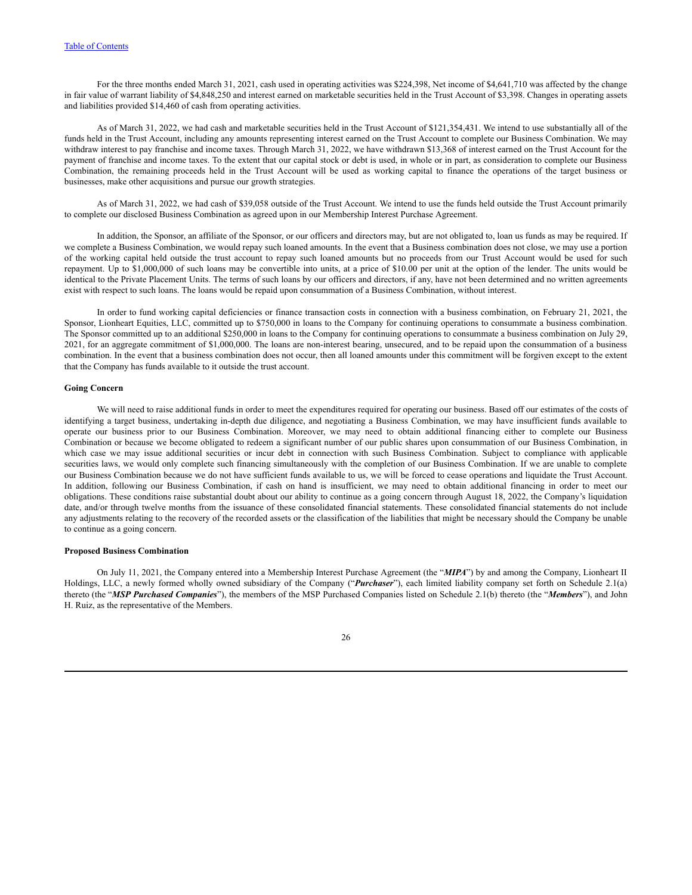For the three months ended March 31, 2021, cash used in operating activities was \$224,398, Net income of \$4,641,710 was affected by the change in fair value of warrant liability of \$4,848,250 and interest earned on marketable securities held in the Trust Account of \$3,398. Changes in operating assets and liabilities provided \$14,460 of cash from operating activities.

As of March 31, 2022, we had cash and marketable securities held in the Trust Account of \$121,354,431. We intend to use substantially all of the funds held in the Trust Account, including any amounts representing interest earned on the Trust Account to complete our Business Combination. We may withdraw interest to pay franchise and income taxes. Through March 31, 2022, we have withdrawn \$13,368 of interest earned on the Trust Account for the payment of franchise and income taxes. To the extent that our capital stock or debt is used, in whole or in part, as consideration to complete our Business Combination, the remaining proceeds held in the Trust Account will be used as working capital to finance the operations of the target business or businesses, make other acquisitions and pursue our growth strategies.

As of March 31, 2022, we had cash of \$39,058 outside of the Trust Account. We intend to use the funds held outside the Trust Account primarily to complete our disclosed Business Combination as agreed upon in our Membership Interest Purchase Agreement.

In addition, the Sponsor, an affiliate of the Sponsor, or our officers and directors may, but are not obligated to, loan us funds as may be required. If we complete a Business Combination, we would repay such loaned amounts. In the event that a Business combination does not close, we may use a portion of the working capital held outside the trust account to repay such loaned amounts but no proceeds from our Trust Account would be used for such repayment. Up to \$1,000,000 of such loans may be convertible into units, at a price of \$10.00 per unit at the option of the lender. The units would be identical to the Private Placement Units. The terms of such loans by our officers and directors, if any, have not been determined and no written agreements exist with respect to such loans. The loans would be repaid upon consummation of a Business Combination, without interest.

In order to fund working capital deficiencies or finance transaction costs in connection with a business combination, on February 21, 2021, the Sponsor, Lionheart Equities, LLC, committed up to \$750,000 in loans to the Company for continuing operations to consummate a business combination. The Sponsor committed up to an additional \$250,000 in loans to the Company for continuing operations to consummate a business combination on July 29, 2021, for an aggregate commitment of \$1,000,000. The loans are non-interest bearing, unsecured, and to be repaid upon the consummation of a business combination. In the event that a business combination does not occur, then all loaned amounts under this commitment will be forgiven except to the extent that the Company has funds available to it outside the trust account.

#### **Going Concern**

We will need to raise additional funds in order to meet the expenditures required for operating our business. Based off our estimates of the costs of identifying a target business, undertaking in-depth due diligence, and negotiating a Business Combination, we may have insufficient funds available to operate our business prior to our Business Combination. Moreover, we may need to obtain additional financing either to complete our Business Combination or because we become obligated to redeem a significant number of our public shares upon consummation of our Business Combination, in which case we may issue additional securities or incur debt in connection with such Business Combination. Subject to compliance with applicable securities laws, we would only complete such financing simultaneously with the completion of our Business Combination. If we are unable to complete our Business Combination because we do not have sufficient funds available to us, we will be forced to cease operations and liquidate the Trust Account. In addition, following our Business Combination, if cash on hand is insufficient, we may need to obtain additional financing in order to meet our obligations. These conditions raise substantial doubt about our ability to continue as a going concern through August 18, 2022, the Company's liquidation date, and/or through twelve months from the issuance of these consolidated financial statements. These consolidated financial statements do not include any adjustments relating to the recovery of the recorded assets or the classification of the liabilities that might be necessary should the Company be unable to continue as a going concern.

#### **Proposed Business Combination**

On July 11, 2021, the Company entered into a Membership Interest Purchase Agreement (the "*MIPA*") by and among the Company, Lionheart II Holdings, LLC, a newly formed wholly owned subsidiary of the Company ("*Purchaser*"), each limited liability company set forth on Schedule 2.1(a) thereto (the "*MSP Purchased Companies*"), the members of the MSP Purchased Companies listed on Schedule 2.1(b) thereto (the "*Members*"), and John H. Ruiz, as the representative of the Members.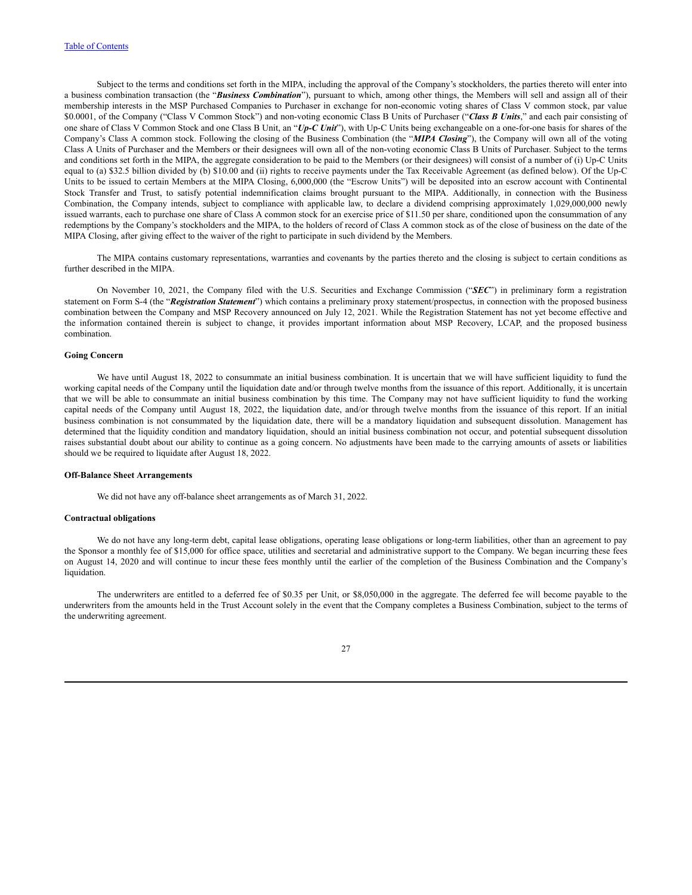Subject to the terms and conditions set forth in the MIPA, including the approval of the Company's stockholders, the parties thereto will enter into a business combination transaction (the "*Business Combination*"), pursuant to which, among other things, the Members will sell and assign all of their membership interests in the MSP Purchased Companies to Purchaser in exchange for non-economic voting shares of Class V common stock, par value \$0.0001, of the Company ("Class V Common Stock") and non-voting economic Class B Units of Purchaser ("*Class B Units*," and each pair consisting of one share of Class V Common Stock and one Class B Unit, an "*Up-C Unit*"), with Up-C Units being exchangeable on a one-for-one basis for shares of the Company's Class A common stock. Following the closing of the Business Combination (the "*MIPA Closing*"), the Company will own all of the voting Class A Units of Purchaser and the Members or their designees will own all of the non-voting economic Class B Units of Purchaser. Subject to the terms and conditions set forth in the MIPA, the aggregate consideration to be paid to the Members (or their designees) will consist of a number of (i) Up-C Units equal to (a) \$32.5 billion divided by (b) \$10.00 and (ii) rights to receive payments under the Tax Receivable Agreement (as defined below). Of the Up-C Units to be issued to certain Members at the MIPA Closing, 6,000,000 (the "Escrow Units") will be deposited into an escrow account with Continental Stock Transfer and Trust, to satisfy potential indemnification claims brought pursuant to the MIPA. Additionally, in connection with the Business Combination, the Company intends, subject to compliance with applicable law, to declare a dividend comprising approximately 1,029,000,000 newly issued warrants, each to purchase one share of Class A common stock for an exercise price of \$11.50 per share, conditioned upon the consummation of any redemptions by the Company's stockholders and the MIPA, to the holders of record of Class A common stock as of the close of business on the date of the MIPA Closing, after giving effect to the waiver of the right to participate in such dividend by the Members.

The MIPA contains customary representations, warranties and covenants by the parties thereto and the closing is subject to certain conditions as further described in the MIPA.

On November 10, 2021, the Company filed with the U.S. Securities and Exchange Commission ("*SEC*") in preliminary form a registration statement on Form S-4 (the "*Registration Statement*") which contains a preliminary proxy statement/prospectus, in connection with the proposed business combination between the Company and MSP Recovery announced on July 12, 2021. While the Registration Statement has not yet become effective and the information contained therein is subject to change, it provides important information about MSP Recovery, LCAP, and the proposed business combination.

## **Going Concern**

We have until August 18, 2022 to consummate an initial business combination. It is uncertain that we will have sufficient liquidity to fund the working capital needs of the Company until the liquidation date and/or through twelve months from the issuance of this report. Additionally, it is uncertain that we will be able to consummate an initial business combination by this time. The Company may not have sufficient liquidity to fund the working capital needs of the Company until August 18, 2022, the liquidation date, and/or through twelve months from the issuance of this report. If an initial business combination is not consummated by the liquidation date, there will be a mandatory liquidation and subsequent dissolution. Management has determined that the liquidity condition and mandatory liquidation, should an initial business combination not occur, and potential subsequent dissolution raises substantial doubt about our ability to continue as a going concern. No adjustments have been made to the carrying amounts of assets or liabilities should we be required to liquidate after August 18, 2022.

#### **Off-Balance Sheet Arrangements**

We did not have any off-balance sheet arrangements as of March 31, 2022.

#### **Contractual obligations**

We do not have any long-term debt, capital lease obligations, operating lease obligations or long-term liabilities, other than an agreement to pay the Sponsor a monthly fee of \$15,000 for office space, utilities and secretarial and administrative support to the Company. We began incurring these fees on August 14, 2020 and will continue to incur these fees monthly until the earlier of the completion of the Business Combination and the Company's liquidation.

The underwriters are entitled to a deferred fee of \$0.35 per Unit, or \$8,050,000 in the aggregate. The deferred fee will become payable to the underwriters from the amounts held in the Trust Account solely in the event that the Company completes a Business Combination, subject to the terms of the underwriting agreement.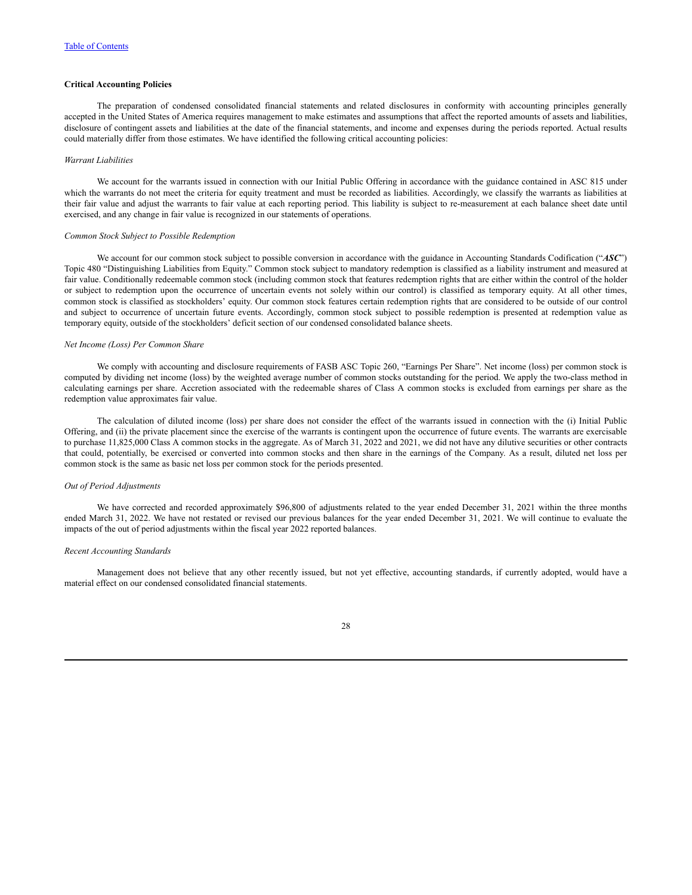## **Critical Accounting Policies**

The preparation of condensed consolidated financial statements and related disclosures in conformity with accounting principles generally accepted in the United States of America requires management to make estimates and assumptions that affect the reported amounts of assets and liabilities, disclosure of contingent assets and liabilities at the date of the financial statements, and income and expenses during the periods reported. Actual results could materially differ from those estimates. We have identified the following critical accounting policies:

#### *Warrant Liabilities*

We account for the warrants issued in connection with our Initial Public Offering in accordance with the guidance contained in ASC 815 under which the warrants do not meet the criteria for equity treatment and must be recorded as liabilities. Accordingly, we classify the warrants as liabilities at their fair value and adjust the warrants to fair value at each reporting period. This liability is subject to re-measurement at each balance sheet date until exercised, and any change in fair value is recognized in our statements of operations.

#### *Common Stock Subject to Possible Redemption*

We account for our common stock subject to possible conversion in accordance with the guidance in Accounting Standards Codification ("*ASC*") Topic 480 "Distinguishing Liabilities from Equity." Common stock subject to mandatory redemption is classified as a liability instrument and measured at fair value. Conditionally redeemable common stock (including common stock that features redemption rights that are either within the control of the holder or subject to redemption upon the occurrence of uncertain events not solely within our control) is classified as temporary equity. At all other times, common stock is classified as stockholders' equity. Our common stock features certain redemption rights that are considered to be outside of our control and subject to occurrence of uncertain future events. Accordingly, common stock subject to possible redemption is presented at redemption value as temporary equity, outside of the stockholders' deficit section of our condensed consolidated balance sheets.

#### *Net Income (Loss) Per Common Share*

We comply with accounting and disclosure requirements of FASB ASC Topic 260, "Earnings Per Share". Net income (loss) per common stock is computed by dividing net income (loss) by the weighted average number of common stocks outstanding for the period. We apply the two-class method in calculating earnings per share. Accretion associated with the redeemable shares of Class A common stocks is excluded from earnings per share as the redemption value approximates fair value.

The calculation of diluted income (loss) per share does not consider the effect of the warrants issued in connection with the (i) Initial Public Offering, and (ii) the private placement since the exercise of the warrants is contingent upon the occurrence of future events. The warrants are exercisable to purchase 11,825,000 Class A common stocks in the aggregate. As of March 31, 2022 and 2021, we did not have any dilutive securities or other contracts that could, potentially, be exercised or converted into common stocks and then share in the earnings of the Company. As a result, diluted net loss per common stock is the same as basic net loss per common stock for the periods presented.

## *Out of Period Adjustments*

We have corrected and recorded approximately \$96,800 of adjustments related to the year ended December 31, 2021 within the three months ended March 31, 2022. We have not restated or revised our previous balances for the year ended December 31, 2021. We will continue to evaluate the impacts of the out of period adjustments within the fiscal year 2022 reported balances.

## *Recent Accounting Standards*

Management does not believe that any other recently issued, but not yet effective, accounting standards, if currently adopted, would have a material effect on our condensed consolidated financial statements.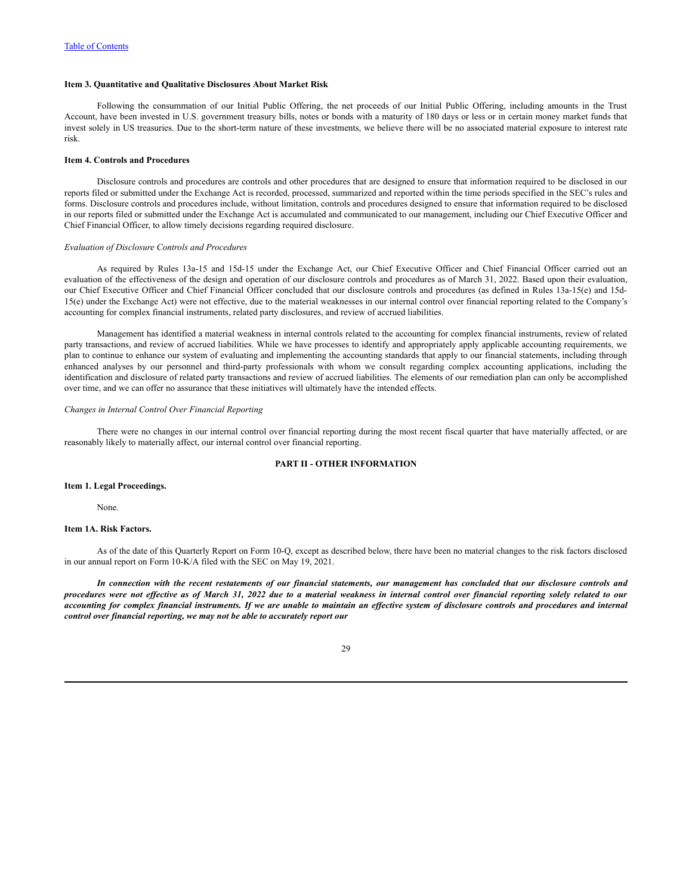## <span id="page-30-0"></span>**Item 3. Quantitative and Qualitative Disclosures About Market Risk**

Following the consummation of our Initial Public Offering, the net proceeds of our Initial Public Offering, including amounts in the Trust Account, have been invested in U.S. government treasury bills, notes or bonds with a maturity of 180 days or less or in certain money market funds that invest solely in US treasuries. Due to the short-term nature of these investments, we believe there will be no associated material exposure to interest rate risk.

#### <span id="page-30-1"></span>**Item 4. Controls and Procedures**

Disclosure controls and procedures are controls and other procedures that are designed to ensure that information required to be disclosed in our reports filed or submitted under the Exchange Act is recorded, processed, summarized and reported within the time periods specified in the SEC's rules and forms. Disclosure controls and procedures include, without limitation, controls and procedures designed to ensure that information required to be disclosed in our reports filed or submitted under the Exchange Act is accumulated and communicated to our management, including our Chief Executive Officer and Chief Financial Officer, to allow timely decisions regarding required disclosure.

### *Evaluation of Disclosure Controls and Procedures*

As required by Rules 13a-15 and 15d-15 under the Exchange Act, our Chief Executive Officer and Chief Financial Officer carried out an evaluation of the effectiveness of the design and operation of our disclosure controls and procedures as of March 31, 2022. Based upon their evaluation, our Chief Executive Officer and Chief Financial Officer concluded that our disclosure controls and procedures (as defined in Rules 13a-15(e) and 15d-15(e) under the Exchange Act) were not effective, due to the material weaknesses in our internal control over financial reporting related to the Company's accounting for complex financial instruments, related party disclosures, and review of accrued liabilities.

Management has identified a material weakness in internal controls related to the accounting for complex financial instruments, review of related party transactions, and review of accrued liabilities. While we have processes to identify and appropriately apply applicable accounting requirements, we plan to continue to enhance our system of evaluating and implementing the accounting standards that apply to our financial statements, including through enhanced analyses by our personnel and third-party professionals with whom we consult regarding complex accounting applications, including the identification and disclosure of related party transactions and review of accrued liabilities. The elements of our remediation plan can only be accomplished over time, and we can offer no assurance that these initiatives will ultimately have the intended effects.

#### *Changes in Internal Control Over Financial Reporting*

There were no changes in our internal control over financial reporting during the most recent fiscal quarter that have materially affected, or are reasonably likely to materially affect, our internal control over financial reporting.

# **PART II - OTHER INFORMATION**

#### <span id="page-30-3"></span><span id="page-30-2"></span>**Item 1. Legal Proceedings.**

None.

## <span id="page-30-4"></span>**Item 1A. Risk Factors.**

As of the date of this Quarterly Report on Form 10-Q, except as described below, there have been no material changes to the risk factors disclosed in our annual report on Form 10-K/A filed with the SEC on May 19, 2021.

In connection with the recent restatements of our financial statements, our management has concluded that our disclosure controls and procedures were not effective as of March 31, 2022 due to a material weakness in internal control over financial reporting solely related to our accounting for complex financial instruments. If we are unable to maintain an effective system of disclosure controls and procedures and internal *control over financial reporting, we may not be able to accurately report our*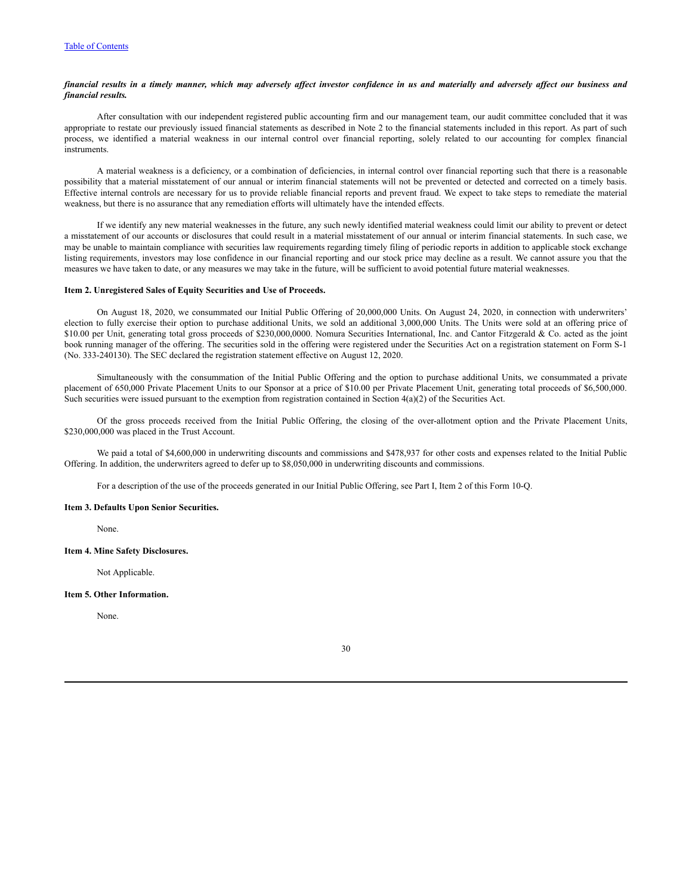## financial results in a timely manner, which may adversely affect investor confidence in us and materially and adversely affect our business and *financial results.*

After consultation with our independent registered public accounting firm and our management team, our audit committee concluded that it was appropriate to restate our previously issued financial statements as described in Note 2 to the financial statements included in this report. As part of such process, we identified a material weakness in our internal control over financial reporting, solely related to our accounting for complex financial instruments.

A material weakness is a deficiency, or a combination of deficiencies, in internal control over financial reporting such that there is a reasonable possibility that a material misstatement of our annual or interim financial statements will not be prevented or detected and corrected on a timely basis. Effective internal controls are necessary for us to provide reliable financial reports and prevent fraud. We expect to take steps to remediate the material weakness, but there is no assurance that any remediation efforts will ultimately have the intended effects.

If we identify any new material weaknesses in the future, any such newly identified material weakness could limit our ability to prevent or detect a misstatement of our accounts or disclosures that could result in a material misstatement of our annual or interim financial statements. In such case, we may be unable to maintain compliance with securities law requirements regarding timely filing of periodic reports in addition to applicable stock exchange listing requirements, investors may lose confidence in our financial reporting and our stock price may decline as a result. We cannot assure you that the measures we have taken to date, or any measures we may take in the future, will be sufficient to avoid potential future material weaknesses.

### <span id="page-31-0"></span>**Item 2. Unregistered Sales of Equity Securities and Use of Proceeds.**

On August 18, 2020, we consummated our Initial Public Offering of 20,000,000 Units. On August 24, 2020, in connection with underwriters' election to fully exercise their option to purchase additional Units, we sold an additional 3,000,000 Units. The Units were sold at an offering price of \$10.00 per Unit, generating total gross proceeds of \$230,000,0000. Nomura Securities International, Inc. and Cantor Fitzgerald & Co. acted as the joint book running manager of the offering. The securities sold in the offering were registered under the Securities Act on a registration statement on Form S-1 (No. 333-240130). The SEC declared the registration statement effective on August 12, 2020.

Simultaneously with the consummation of the Initial Public Offering and the option to purchase additional Units, we consummated a private placement of 650,000 Private Placement Units to our Sponsor at a price of \$10.00 per Private Placement Unit, generating total proceeds of \$6,500,000. Such securities were issued pursuant to the exemption from registration contained in Section 4(a)(2) of the Securities Act.

Of the gross proceeds received from the Initial Public Offering, the closing of the over-allotment option and the Private Placement Units, \$230,000,000 was placed in the Trust Account.

We paid a total of \$4,600,000 in underwriting discounts and commissions and \$478,937 for other costs and expenses related to the Initial Public Offering. In addition, the underwriters agreed to defer up to \$8,050,000 in underwriting discounts and commissions.

For a description of the use of the proceeds generated in our Initial Public Offering, see Part I, Item 2 of this Form 10-Q.

## <span id="page-31-1"></span>**Item 3. Defaults Upon Senior Securities.**

None.

## <span id="page-31-2"></span>**Item 4. Mine Safety Disclosures.**

Not Applicable.

#### <span id="page-31-3"></span>**Item 5. Other Information.**

None.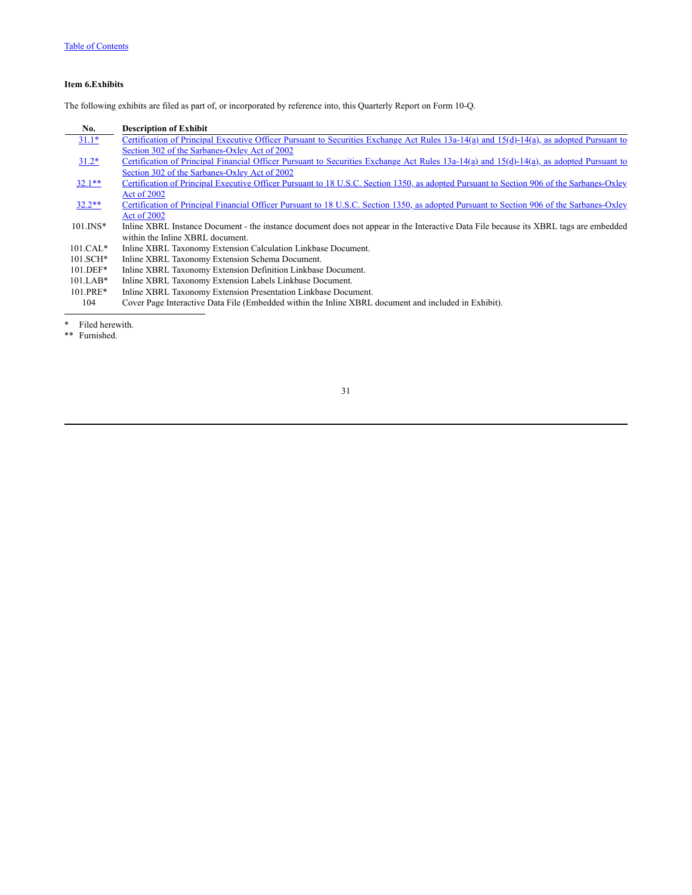# <span id="page-32-0"></span>**Item 6.Exhibits**

The following exhibits are filed as part of, or incorporated by reference into, this Quarterly Report on Form 10-Q.

| No.          | <b>Description of Exhibit</b>                                                                                                             |
|--------------|-------------------------------------------------------------------------------------------------------------------------------------------|
| $31.1*$      | Certification of Principal Executive Officer Pursuant to Securities Exchange Act Rules 13a-14(a) and 15(d)-14(a), as adopted Pursuant to  |
|              | Section 302 of the Sarbanes-Oxley Act of 2002                                                                                             |
| $31.2*$      | Certification of Principal Financial Officer Pursuant to Securities Exchange Act Rules 13a-14(a) and 15(d)-14(a), as adopted Pursuant to  |
|              | Section 302 of the Sarbanes-Oxley Act of 2002                                                                                             |
| $32.1**$     | Certification of Principal Executive Officer Pursuant to 18 U.S.C. Section 1350, as adopted Pursuant to Section 906 of the Sarbanes-Oxley |
|              | Act of 2002                                                                                                                               |
| $32.2**$     | Certification of Principal Financial Officer Pursuant to 18 U.S.C. Section 1350, as adopted Pursuant to Section 906 of the Sarbanes-Oxley |
|              | Act of 2002                                                                                                                               |
| $101$ . INS* | Inline XBRL Instance Document - the instance document does not appear in the Interactive Data File because its XBRL tags are embedded     |
|              | within the Inline XBRL document.                                                                                                          |
| $101.CAL*$   | Inline XBRL Taxonomy Extension Calculation Linkbase Document.                                                                             |
| $101.SCH*$   | Inline XBRL Taxonomy Extension Schema Document.                                                                                           |
| $101.$ DEF*  | Inline XBRL Taxonomy Extension Definition Linkbase Document.                                                                              |
| $101.LAB*$   | Inline XBRL Taxonomy Extension Labels Linkbase Document.                                                                                  |
| 101.PRE*     | Inline XBRL Taxonomy Extension Presentation Linkbase Document.                                                                            |
| 104          | Cover Page Interactive Data File (Embedded within the Inline XBRL document and included in Exhibit).                                      |
|              |                                                                                                                                           |

\* Filed herewith.

\*\* Furnished.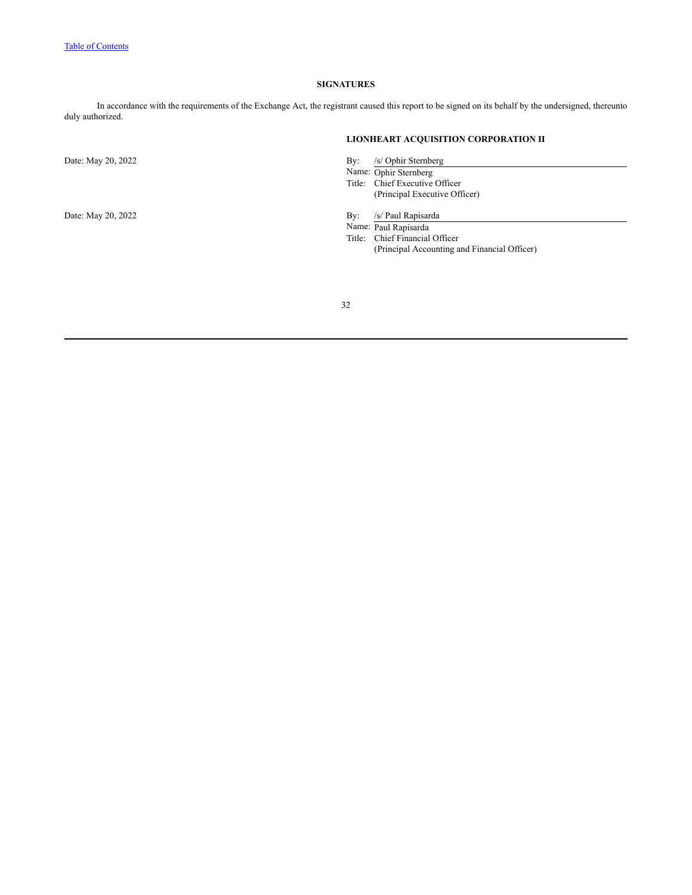## **SIGNATURES**

<span id="page-33-0"></span>In accordance with the requirements of the Exchange Act, the registrant caused this report to be signed on its behalf by the undersigned, thereunto duly authorized.

# **LIONHEART ACQUISITION CORPORATION II**

Date: May 20, 2022 By: /s/ Ophir Sternberg

Name: Ophir Sternberg Title: Chief Executive Officer (Principal Executive Officer)

Date: May 20, 2022 By: /s/ Paul Rapisarda

Name: Paul Rapisarda

Title: Chief Financial Officer (Principal Accounting and Financial Officer)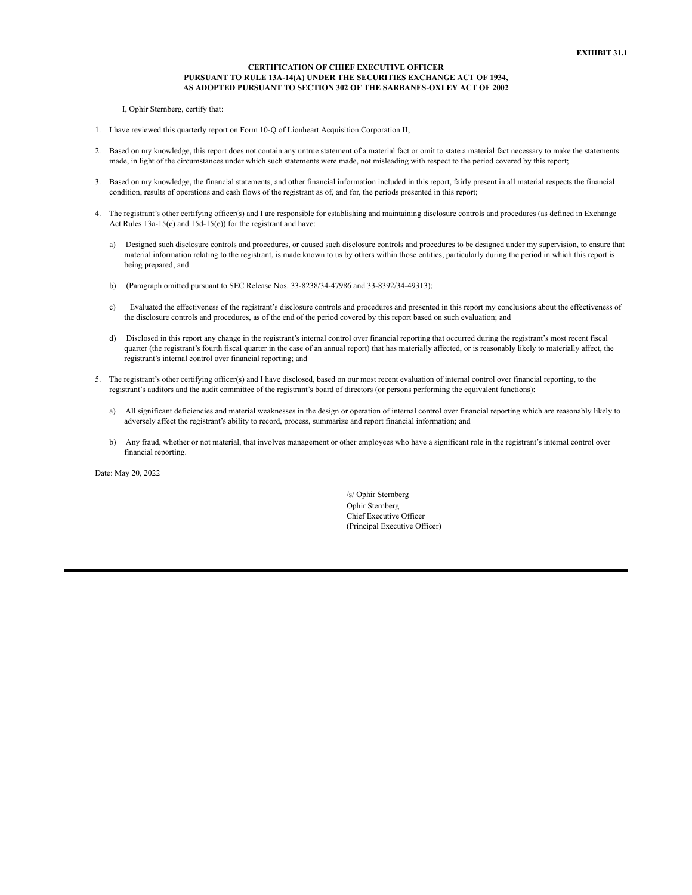#### **CERTIFICATION OF CHIEF EXECUTIVE OFFICER PURSUANT TO RULE 13A-14(A) UNDER THE SECURITIES EXCHANGE ACT OF 1934, AS ADOPTED PURSUANT TO SECTION 302 OF THE SARBANES-OXLEY ACT OF 2002**

I, Ophir Sternberg, certify that:

- 1. I have reviewed this quarterly report on Form 10-Q of Lionheart Acquisition Corporation II;
- 2. Based on my knowledge, this report does not contain any untrue statement of a material fact or omit to state a material fact necessary to make the statements made, in light of the circumstances under which such statements were made, not misleading with respect to the period covered by this report;
- 3. Based on my knowledge, the financial statements, and other financial information included in this report, fairly present in all material respects the financial condition, results of operations and cash flows of the registrant as of, and for, the periods presented in this report;
- 4. The registrant's other certifying officer(s) and I are responsible for establishing and maintaining disclosure controls and procedures (as defined in Exchange Act Rules 13a-15(e) and 15d-15(e)) for the registrant and have:
	- a) Designed such disclosure controls and procedures, or caused such disclosure controls and procedures to be designed under my supervision, to ensure that material information relating to the registrant, is made known to us by others within those entities, particularly during the period in which this report is being prepared; and
	- b) (Paragraph omitted pursuant to SEC Release Nos. 33-8238/34-47986 and 33-8392/34-49313);
	- c) Evaluated the effectiveness of the registrant's disclosure controls and procedures and presented in this report my conclusions about the effectiveness of the disclosure controls and procedures, as of the end of the period covered by this report based on such evaluation; and
	- d) Disclosed in this report any change in the registrant's internal control over financial reporting that occurred during the registrant's most recent fiscal quarter (the registrant's fourth fiscal quarter in the case of an annual report) that has materially affected, or is reasonably likely to materially affect, the registrant's internal control over financial reporting; and
- 5. The registrant's other certifying officer(s) and I have disclosed, based on our most recent evaluation of internal control over financial reporting, to the registrant's auditors and the audit committee of the registrant's board of directors (or persons performing the equivalent functions):
	- a) All significant deficiencies and material weaknesses in the design or operation of internal control over financial reporting which are reasonably likely to adversely affect the registrant's ability to record, process, summarize and report financial information; and
	- b) Any fraud, whether or not material, that involves management or other employees who have a significant role in the registrant's internal control over financial reporting.

Date: May 20, 2022

/s/ Ophir Sternberg

Ophir Sternberg Chief Executive Officer (Principal Executive Officer)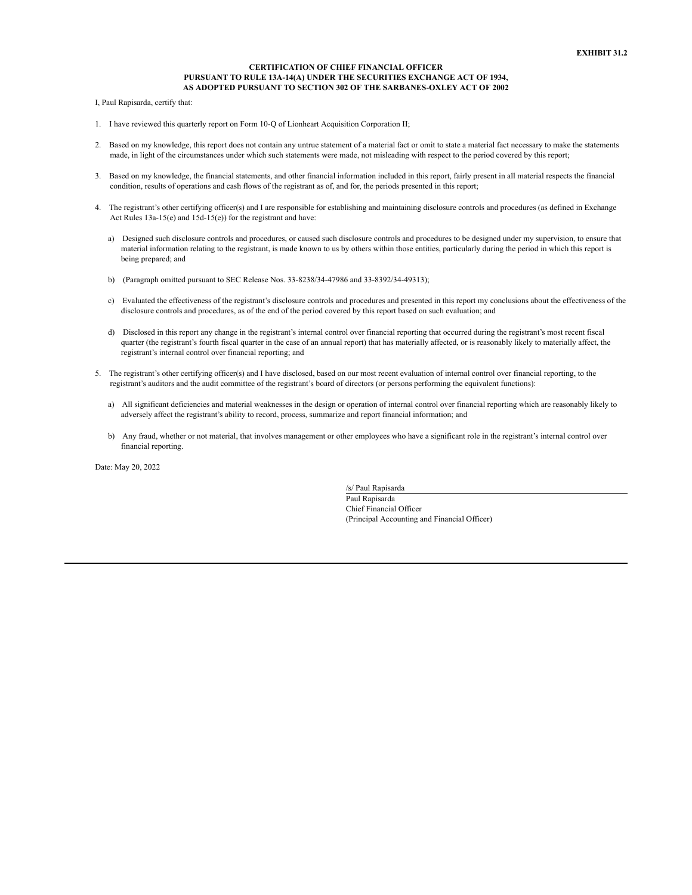## **CERTIFICATION OF CHIEF FINANCIAL OFFICER PURSUANT TO RULE 13A-14(A) UNDER THE SECURITIES EXCHANGE ACT OF 1934, AS ADOPTED PURSUANT TO SECTION 302 OF THE SARBANES-OXLEY ACT OF 2002**

I, Paul Rapisarda, certify that:

- 1. I have reviewed this quarterly report on Form 10-Q of Lionheart Acquisition Corporation II;
- 2. Based on my knowledge, this report does not contain any untrue statement of a material fact or omit to state a material fact necessary to make the statements made, in light of the circumstances under which such statements were made, not misleading with respect to the period covered by this report;
- 3. Based on my knowledge, the financial statements, and other financial information included in this report, fairly present in all material respects the financial condition, results of operations and cash flows of the registrant as of, and for, the periods presented in this report;
- 4. The registrant's other certifying officer(s) and I are responsible for establishing and maintaining disclosure controls and procedures (as defined in Exchange Act Rules 13a-15(e) and 15d-15(e)) for the registrant and have:
	- a) Designed such disclosure controls and procedures, or caused such disclosure controls and procedures to be designed under my supervision, to ensure that material information relating to the registrant, is made known to us by others within those entities, particularly during the period in which this report is being prepared; and
	- b) (Paragraph omitted pursuant to SEC Release Nos. 33-8238/34-47986 and 33-8392/34-49313);
	- c) Evaluated the effectiveness of the registrant's disclosure controls and procedures and presented in this report my conclusions about the effectiveness of the disclosure controls and procedures, as of the end of the period covered by this report based on such evaluation; and
	- d) Disclosed in this report any change in the registrant's internal control over financial reporting that occurred during the registrant's most recent fiscal quarter (the registrant's fourth fiscal quarter in the case of an annual report) that has materially affected, or is reasonably likely to materially affect, the registrant's internal control over financial reporting; and
- 5. The registrant's other certifying officer(s) and I have disclosed, based on our most recent evaluation of internal control over financial reporting, to the registrant's auditors and the audit committee of the registrant's board of directors (or persons performing the equivalent functions):
	- a) All significant deficiencies and material weaknesses in the design or operation of internal control over financial reporting which are reasonably likely to adversely affect the registrant's ability to record, process, summarize and report financial information; and
	- b) Any fraud, whether or not material, that involves management or other employees who have a significant role in the registrant's internal control over financial reporting.

Date: May 20, 2022

/s/ Paul Rapisarda Paul Rapisarda Chief Financial Officer (Principal Accounting and Financial Officer)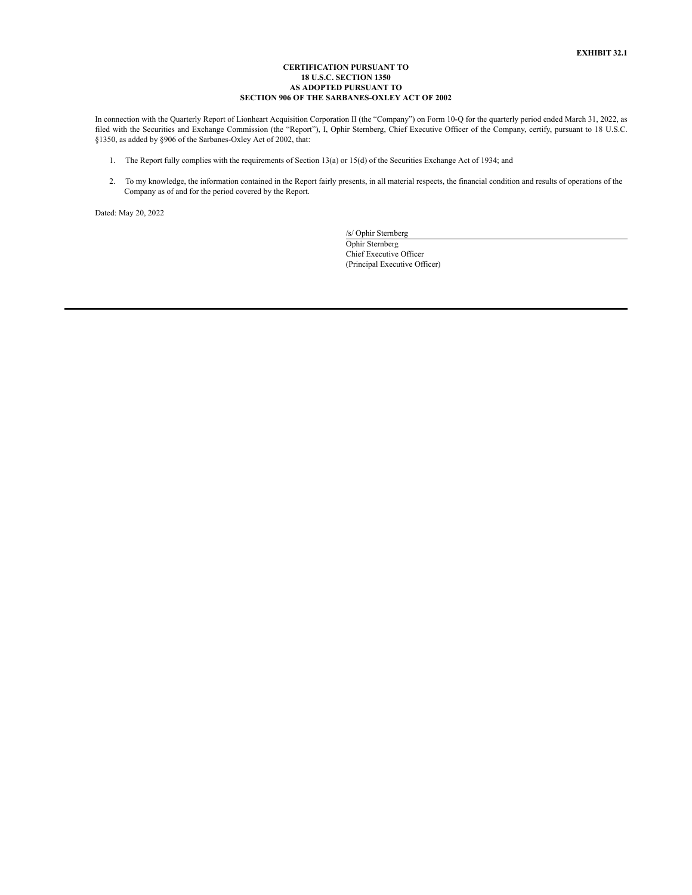### **CERTIFICATION PURSUANT TO 18 U.S.C. SECTION 1350 AS ADOPTED PURSUANT TO SECTION 906 OF THE SARBANES-OXLEY ACT OF 2002**

In connection with the Quarterly Report of Lionheart Acquisition Corporation II (the "Company") on Form 10-Q for the quarterly period ended March 31, 2022, as filed with the Securities and Exchange Commission (the "Report"), I, Ophir Sternberg, Chief Executive Officer of the Company, certify, pursuant to 18 U.S.C. §1350, as added by §906 of the Sarbanes-Oxley Act of 2002, that:

- 1. The Report fully complies with the requirements of Section 13(a) or 15(d) of the Securities Exchange Act of 1934; and
- 2. To my knowledge, the information contained in the Report fairly presents, in all material respects, the financial condition and results of operations of the Company as of and for the period covered by the Report.

Dated: May 20, 2022

/s/ Ophir Sternberg Ophir Sternberg Chief Executive Officer (Principal Executive Officer)